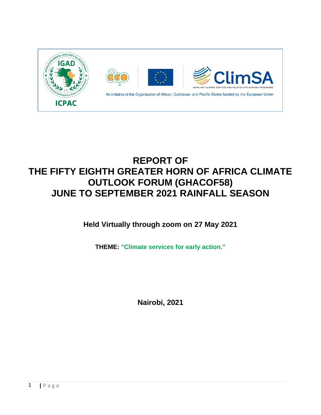

# **REPORT OF THE FIFTY EIGHTH GREATER HORN OF AFRICA CLIMATE OUTLOOK FORUM (GHACOF58) JUNE TO SEPTEMBER 2021 RAINFALL SEASON**

**Held Virtually through zoom on 27 May 2021**

**THEME: "Climate services for early action."**

**Nairobi, 2021**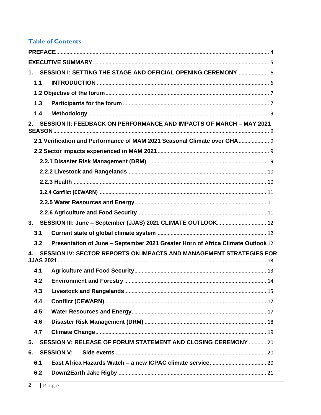# **Table of Contents**

| 1.1 |                                                                                 |  |
|-----|---------------------------------------------------------------------------------|--|
|     |                                                                                 |  |
| 1.3 |                                                                                 |  |
| 1.4 |                                                                                 |  |
| 2.  | SESSION II: FEEDBACK ON PERFORMANCE AND IMPACTS OF MARCH - MAY 2021             |  |
|     | 2.1 Verification and Performance of MAM 2021 Seasonal Climate over GHA  9       |  |
|     |                                                                                 |  |
|     |                                                                                 |  |
|     |                                                                                 |  |
|     |                                                                                 |  |
|     |                                                                                 |  |
|     |                                                                                 |  |
|     |                                                                                 |  |
| 3.  | SESSION III: June - September (JJAS) 2021 CLIMATE OUTLOOK 12                    |  |
| 3.1 |                                                                                 |  |
| 3.2 | Presentation of June - September 2021 Greater Horn of Africa Climate Outlook 12 |  |
|     | SESSION IV: SECTOR REPORTS ON IMPACTS AND MANAGEMENT STRATEGIES FOR             |  |
| 4.1 |                                                                                 |  |
| 4.2 |                                                                                 |  |
| 4.3 |                                                                                 |  |
| 4.4 |                                                                                 |  |
| 4.5 |                                                                                 |  |
| 4.6 |                                                                                 |  |
| 4.7 |                                                                                 |  |
| 5.  | <b>SESSION V: RELEASE OF FORUM STATEMENT AND CLOSING CEREMONY  20</b>           |  |
| 6.  | <b>SESSION V:</b>                                                               |  |
| 6.1 |                                                                                 |  |
| 6.2 |                                                                                 |  |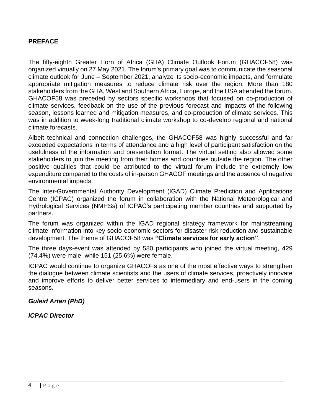#### <span id="page-3-0"></span>**PREFACE**

The fifty-eighth Greater Horn of Africa (GHA) Climate Outlook Forum (GHACOF58) was organized virtually on 27 May 2021. The forum's primary goal was to communicate the seasonal climate outlook for June – September 2021, analyze its socio-economic impacts, and formulate appropriate mitigation measures to reduce climate risk over the region. More than 180 stakeholders from the GHA, West and Southern Africa, Europe, and the USA attended the forum. GHACOF58 was preceded by sectors specific workshops that focused on co-production of climate services, feedback on the use of the previous forecast and impacts of the following season, lessons learned and mitigation measures, and co-production of climate services. This was in addition to week-long traditional climate workshop to co-develop regional and national climate forecasts.

Albeit technical and connection challenges, the GHACOF58 was highly successful and far exceeded expectations in terms of attendance and a high level of participant satisfaction on the usefulness of the information and presentation format. The virtual setting also allowed some stakeholders to join the meeting from their homes and countries outside the region. The other positive qualities that could be attributed to the virtual forum include the extremely low expenditure compared to the costs of in-person GHACOF meetings and the absence of negative environmental impacts.

The Inter-Governmental Authority Development (IGAD) Climate Prediction and Applications Centre (ICPAC) organized the forum in collaboration with the National Meteorological and Hydrological Services (NMHSs) of ICPAC's participating member countries and supported by partners.

The forum was organized within the IGAD regional strategy framework for mainstreaming climate information into key socio-economic sectors for disaster risk reduction and sustainable development. The theme of GHACOF58 was **"Climate services for early action"**.

The three days-event was attended by 580 participants who joined the virtual meeting, 429 (74.4%) were male, while 151 (25.6%) were female.

ICPAC would continue to organize GHACOFs as one of the most effective ways to strengthen the dialogue between climate scientists and the users of climate services, proactively innovate and improve efforts to deliver better services to intermediary and end-users in the coming seasons.

#### *Guleid Artan (PhD)*

#### *ICPAC Director*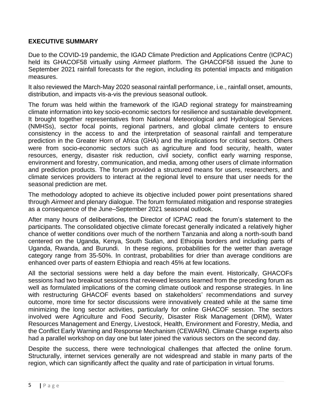#### <span id="page-4-0"></span>**EXECUTIVE SUMMARY**

Due to the COVID-19 pandemic, the IGAD Climate Prediction and Applications Centre (ICPAC) held its GHACOF58 virtually using *Airmeet* platform. The GHACOF58 issued the June to September 2021 rainfall forecasts for the region, including its potential impacts and mitigation measures.

It also reviewed the March-May 2020 seasonal rainfall performance, i.e., rainfall onset, amounts, distribution, and impacts vis-a-vis the previous seasonal outlook.

The forum was held within the framework of the IGAD regional strategy for mainstreaming climate information into key socio-economic sectors for resilience and sustainable development. It brought together representatives from National Meteorological and Hydrological Services (NMHSs), sector focal points, regional partners, and global climate centers to ensure consistency in the access to and the interpretation of seasonal rainfall and temperature prediction in the Greater Horn of Africa (GHA) and the implications for critical sectors. Others were from socio-economic sectors such as agriculture and food security, health, water resources, energy, disaster risk reduction, civil society, conflict early warning response, environment and forestry, communication, and media, among other users of climate information and prediction products. The forum provided a structured means for users, researchers, and climate services providers to interact at the regional level to ensure that user needs for the seasonal prediction are met.

The methodology adopted to achieve its objective included power point presentations shared through *Airmeet* and plenary dialogue. The forum formulated mitigation and response strategies as a consequence of the June–September 2021 seasonal outlook.

After many hours of deliberations, the Director of ICPAC read the forum's statement to the participants. The consolidated objective climate forecast generally indicated a relatively higher chance of wetter conditions over much of the northern Tanzania and along a north-south band centered on the Uganda, Kenya, South Sudan, and Ethiopia borders and including parts of Uganda, Rwanda, and Burundi. In these regions, probabilities for the wetter than average category range from 35-50%. In contrast, probabilities for drier than average conditions are enhanced over parts of eastern Ethiopia and reach 45% at few locations.

All the sectorial sessions were held a day before the main event. Historically, GHACOFs sessions had two breakout sessions that reviewed lessons learned from the preceding forum as well as formulated implications of the coming climate outlook and response strategies. In line with restructuring GHACOF events based on stakeholders' recommendations and survey outcome, more time for sector discussions were innovatively created while at the same time minimizing the long sector activities, particularly for online GHACOF session. The sectors involved were Agriculture and Food Security, Disaster Risk Management (DRM), Water Resources Management and Energy, Livestock, Health, Environment and Forestry, Media, and the Conflict Early Warning and Response Mechanism (CEWARN). Climate Change experts also had a parallel workshop on day one but later joined the various sectors on the second day.

Despite the success, there were technological challenges that affected the online forum. Structurally, internet services generally are not widespread and stable in many parts of the region, which can significantly affect the quality and rate of participation in virtual forums.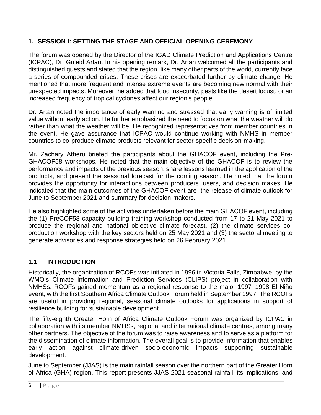# <span id="page-5-0"></span>**1. SESSION I: SETTING THE STAGE AND OFFICIAL OPENING CEREMONY**

The forum was opened by the Director of the IGAD Climate Prediction and Applications Centre (ICPAC), Dr. Guleid Artan. In his opening remark, Dr. Artan welcomed all the participants and distinguished guests and stated that the region, like many other parts of the world, currently face a series of compounded crises. These crises are exacerbated further by climate change. He mentioned that more frequent and intense extreme events are becoming new normal with their unexpected impacts. Moreover, he added that food insecurity, pests like the desert locust, or an increased frequency of tropical cyclones affect our region's people.

Dr. Artan noted the importance of early warning and stressed that early warning is of limited value without early action. He further emphasized the need to focus on what the weather will do rather than what the weather will be. He recognized representatives from member countries in the event. He gave assurance that ICPAC would continue working with NMHS in member countries to co-produce climate products relevant for sector-specific decision-making.

Mr. Zachary Atheru briefed the participants about the GHACOF event, including the Pre-GHACOF58 workshops. He noted that the main objective of the GHACOF is to review the performance and impacts of the previous season, share lessons learned in the application of the products, and present the seasonal forecast for the coming season. He noted that the forum provides the opportunity for interactions between producers, users, and decision makes. He indicated that the main outcomes of the GHACOF event are the release of climate outlook for June to September 2021 and summary for decision-makers.

He also highlighted some of the activities undertaken before the main GHACOF event, including the (1) PreCOF58 capacity building training workshop conducted from 17 to 21 May 2021 to produce the regional and national objective climate forecast, (2) the climate services coproduction workshop with the key sectors held on 25 May 2021 and (3) the sectoral meeting to generate advisories and response strategies held on 26 February 2021.

# <span id="page-5-1"></span>**1.1 INTRODUCTION**

Historically, the organization of RCOFs was initiated in 1996 in Victoria Falls, Zimbabwe, by the WMO's Climate Information and Prediction Services (CLIPS) project in collaboration with NMHSs. RCOFs gained momentum as a regional response to the major 1997–1998 El Niño event, with the first Southern Africa Climate Outlook Forum held in September 1997. The RCOFs are useful in providing regional, seasonal climate outlooks for applications in support of resilience building for sustainable development.

The fifty-eighth Greater Horn of Africa Climate Outlook Forum was organized by ICPAC in collaboration with its member NMHSs, regional and international climate centres, among many other partners. The objective of the forum was to raise awareness and to serve as a platform for the dissemination of climate information. The overall goal is to provide information that enables early action against climate-driven socio-economic impacts supporting sustainable development.

June to September (JJAS) is the main rainfall season over the northern part of the Greater Horn of Africa (GHA) region. This report presents JJAS 2021 seasonal rainfall, its implications, and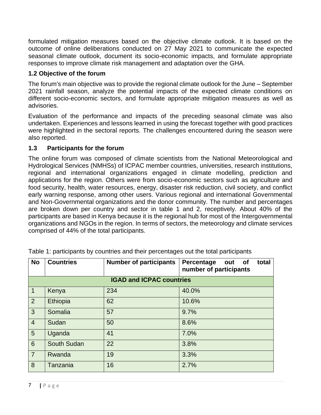formulated mitigation measures based on the objective climate outlook. It is based on the outcome of online deliberations conducted on 27 May 2021 to communicate the expected seasonal climate outlook, document its socio-economic impacts, and formulate appropriate responses to improve climate risk management and adaptation over the GHA.

# <span id="page-6-0"></span>**1.2 Objective of the forum**

The forum's main objective was to provide the regional climate outlook for the June – September 2021 rainfall season, analyze the potential impacts of the expected climate conditions on different socio-economic sectors, and formulate appropriate mitigation measures as well as advisories.

Evaluation of the performance and impacts of the preceding seasonal climate was also undertaken. Experiences and lessons learned in using the forecast together with good practices were highlighted in the sectoral reports. The challenges encountered during the season were also reported.

# <span id="page-6-1"></span>**1.3 Participants for the forum**

The online forum was composed of climate scientists from the National Meteorological and Hydrological Services (NMHSs) of ICPAC member countries, universities, research institutions, regional and international organizations engaged in climate modelling, prediction and applications for the region. Others were from socio-economic sectors such as agriculture and food security, health, water resources, energy, disaster risk reduction, civil society, and conflict early warning response, among other users. Various regional and international Governmental and Non-Governmental organizations and the donor community. The number and percentages are broken down per country and sector in table 1 and 2, receptively. About 40% of the participants are based in Kenya because it is the regional hub for most of the Intergovernmental organizations and NGOs in the region. In terms of sectors, the meteorology and climate services comprised of 44% of the total participants.

| <b>No</b>      | <b>Countries</b>   | <b>Number of participants</b>   | Percentage<br>total<br>out<br>of<br>number of participants |
|----------------|--------------------|---------------------------------|------------------------------------------------------------|
|                |                    | <b>IGAD and ICPAC countries</b> |                                                            |
| $\mathbf{1}$   | Kenya              | 234                             | 40.0%                                                      |
| 2              | Ethiopia           | 62                              | 10.6%                                                      |
| $\mathbf{3}$   | Somalia            | 57                              | 9.7%                                                       |
| $\overline{4}$ | Sudan              | 50                              | 8.6%                                                       |
| $5\phantom{.}$ | Uganda             | 41                              | 7.0%                                                       |
| $6\phantom{1}$ | <b>South Sudan</b> | 22                              | 3.8%                                                       |
| $\overline{7}$ | Rwanda             | 19                              | 3.3%                                                       |
| 8              | Tanzania           | 16                              | 2.7%                                                       |

Table 1: participants by countries and their percentages out the total participants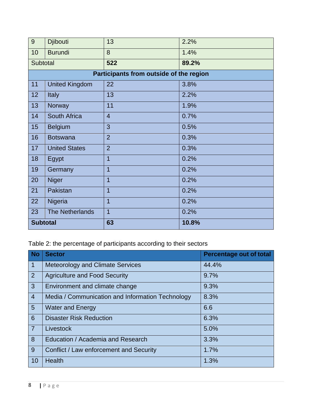| 9               | <b>Djibouti</b>        | 13                                      | 2.2%  |
|-----------------|------------------------|-----------------------------------------|-------|
| 10              | <b>Burundi</b>         | 8                                       | 1.4%  |
| Subtotal        |                        | 522                                     | 89.2% |
|                 |                        | Participants from outside of the region |       |
| 11              | <b>United Kingdom</b>  | 22                                      | 3.8%  |
| 12              | <b>Italy</b>           | 13                                      | 2.2%  |
| 13              | Norway                 | 11                                      | 1.9%  |
| 14              | South Africa           | $\overline{4}$                          | 0.7%  |
| 15              | <b>Belgium</b>         | 3                                       | 0.5%  |
| 16              | <b>Botswana</b>        | $\overline{2}$                          | 0.3%  |
| 17              | <b>United States</b>   | $\overline{2}$                          | 0.3%  |
| 18              | Egypt                  | $\overline{1}$                          | 0.2%  |
| 19              | Germany                | $\overline{1}$                          | 0.2%  |
| 20              | <b>Niger</b>           | $\overline{1}$                          | 0.2%  |
| 21              | Pakistan               | $\overline{1}$                          | 0.2%  |
| 22              | Nigeria                | $\overline{1}$                          | 0.2%  |
| 23              | <b>The Netherlands</b> | $\overline{1}$                          | 0.2%  |
| <b>Subtotal</b> |                        | 63                                      | 10.8% |

Table 2: the percentage of participants according to their sectors

| <b>No</b>       | <b>Sector</b>                                    | <b>Percentage out of total</b> |
|-----------------|--------------------------------------------------|--------------------------------|
| $\overline{1}$  | <b>Meteorology and Climate Services</b>          | 44.4%                          |
| $\overline{2}$  | <b>Agriculture and Food Security</b>             | 9.7%                           |
| $\mathbf{3}$    | Environment and climate change                   | 9.3%                           |
| $\overline{4}$  | Media / Communication and Information Technology | 8.3%                           |
| $5\overline{)}$ | <b>Water and Energy</b>                          | 6.6                            |
| 6               | <b>Disaster Risk Reduction</b>                   | 6.3%                           |
| $\overline{7}$  | Livestock                                        | 5.0%                           |
| 8               | Education / Academia and Research                | 3.3%                           |
| 9               | Conflict / Law enforcement and Security          | 1.7%                           |
| 10              | <b>Health</b>                                    | 1.3%                           |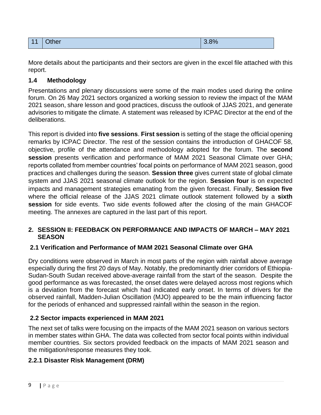| $\overline{ }$<br>. . | <b>Other</b> | $\sim$ $\sim$ $\sim$<br>.070 |
|-----------------------|--------------|------------------------------|
|-----------------------|--------------|------------------------------|

More details about the participants and their sectors are given in the excel file attached with this report.

### <span id="page-8-0"></span>**1.4 Methodology**

Presentations and plenary discussions were some of the main modes used during the online forum. On 26 May 2021 sectors organized a working session to review the impact of the MAM 2021 season, share lesson and good practices, discuss the outlook of JJAS 2021, and generate advisories to mitigate the climate. A statement was released by ICPAC Director at the end of the deliberations.

This report is divided into **five sessions**. **First session** is setting of the stage the official opening remarks by ICPAC Director. The rest of the session contains the introduction of GHACOF 58, objective, profile of the attendance and methodology adopted for the forum. The **second session** presents verification and performance of MAM 2021 Seasonal Climate over GHA; reports collated from member countries' focal points on performance of MAM 2021 season, good practices and challenges during the season. **Session three** gives current state of global climate system and JJAS 2021 seasonal climate outlook for the region. **Session four** is on expected impacts and management strategies emanating from the given forecast. Finally, **Session five** where the official release of the JJAS 2021 climate outlook statement followed by a **sixth session** for side events. Two side events followed after the closing of the main GHACOF meeting. The annexes are captured in the last part of this report.

#### <span id="page-8-1"></span>**2. SESSION II: FEEDBACK ON PERFORMANCE AND IMPACTS OF MARCH – MAY 2021 SEASON**

#### <span id="page-8-2"></span>**2.1 Verification and Performance of MAM 2021 Seasonal Climate over GHA**

Dry conditions were observed in March in most parts of the region with rainfall above average especially during the first 20 days of May. Notably, the predominantly drier corridors of Ethiopia-Sudan-South Sudan received above-average rainfall from the start of the season. Despite the good performance as was forecasted, the onset dates were delayed across most regions which is a deviation from the forecast which had indicated early onset. In terms of drivers for the observed rainfall, Madden-Julian Oscillation (MJO) appeared to be the main influencing factor for the periods of enhanced and suppressed rainfall within the season in the region.

#### <span id="page-8-3"></span>**2.2 Sector impacts experienced in MAM 2021**

The next set of talks were focusing on the impacts of the MAM 2021 season on various sectors in member states within GHA. The data was collected from sector focal points within individual member countries. Six sectors provided feedback on the impacts of MAM 2021 season and the mitigation/response measures they took.

# <span id="page-8-4"></span>**2.2.1 Disaster Risk Management (DRM)**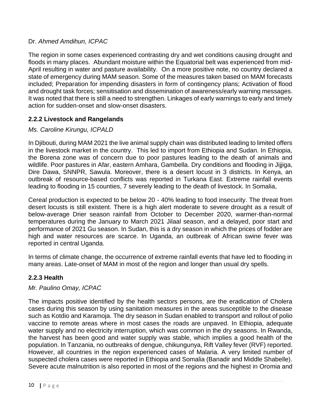#### Dr. *Ahmed Amdihun, ICPAC*

The region in some cases experienced contrasting dry and wet conditions causing drought and floods in many places. Abundant moisture within the Equatorial belt was experienced from mid-April resulting in water and pasture availability. On a more positive note, no country declared a state of emergency during MAM season. Some of the measures taken based on MAM forecasts included; Preparation for impending disasters in form of contingency plans; Activation of flood and drought task forces; sensitisation and dissemination of awareness/early warning messages. It was noted that there is still a need to strengthen. Linkages of early warnings to early and timely action for sudden-onset and slow-onset disasters.

#### <span id="page-9-0"></span>**2.2.2 Livestock and Rangelands**

#### *Ms. Caroline Kirungu, ICPALD*

In Djibouti, during MAM 2021 the live animal supply chain was distributed leading to limited offers in the livestock market in the country. This led to import from Ethiopia and Sudan. In Ethiopia, the Borena zone was of concern due to poor pastures leading to the death of animals and wildlife. Poor pastures in Afar, eastern Amhara, Gambella. Dry conditions and flooding in Jijjiga, Dire Dawa, SNNPR, Sawula. Moreover, there is a desert locust in 3 districts. In Kenya, an outbreak of resource-based conflicts was reported in Turkana East. Extreme rainfall events leading to flooding in 15 counties, 7 severely leading to the death of livestock. In Somalia,

Cereal production is expected to be below 20 - 40% leading to food insecurity. The threat from desert locusts is still existent. There is a high alert moderate to severe drought as a result of below-average Drier season rainfall from October to December 2020, warmer-than-normal temperatures during the January to March 2021 Jilaal season, and a delayed, poor start and performance of 2021 Gu season. In Sudan, this is a dry season in which the prices of fodder are high and water resources are scarce. In Uganda, an outbreak of African swine fever was reported in central Uganda.

In terms of climate change, the occurrence of extreme rainfall events that have led to flooding in many areas. Late-onset of MAM in most of the region and longer than usual dry spells.

#### <span id="page-9-1"></span>**2.2.3 Health**

#### *Mr. Paulino Omay, ICPAC*

The impacts positive identified by the health sectors persons, are the eradication of Cholera cases during this season by using sanitation measures in the areas susceptible to the disease such as Kotdio and Karamoja. The dry season in Sudan enabled to transport and rollout of polio vaccine to remote areas where in most cases the roads are unpaved. In Ethiopia, adequate water supply and no electricity interruption, which was common in the dry seasons. In Rwanda, the harvest has been good and water supply was stable, which implies a good health of the population. In Tanzania, no outbreaks of dengue, chikungunya, Rift Valley fever (RVF) reported. However, all countries in the region experienced cases of Malaria. A very limited number of suspected cholera cases were reported in Ethiopia and Somalia (Banadir and Middle Shabelle). Severe acute malnutrition is also reported in most of the regions and the highest in Oromia and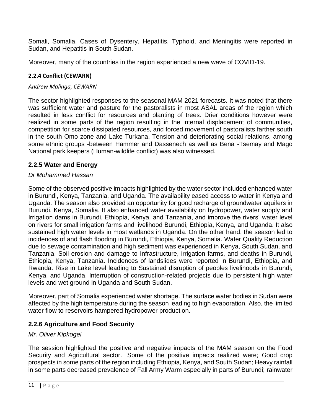Somali, Somalia. Cases of Dysentery, Hepatitis, Typhoid, and Meningitis were reported in Sudan, and Hepatitis in South Sudan.

Moreover, many of the countries in the region experienced a new wave of COVID-19.

### <span id="page-10-0"></span>**2.2.4 Conflict (CEWARN)**

#### *Andrew Malinga, CEWARN*

The sector highlighted responses to the seasonal MAM 2021 forecasts. It was noted that there was sufficient water and pasture for the pastoralists in most ASAL areas of the region which resulted in less conflict for resources and planting of trees. Drier conditions however were realized in some parts of the region resulting in the internal displacement of communities, competition for scarce dissipated resources, and forced movement of pastoralists farther south in the south Omo zone and Lake Turkana. Tension and deteriorating social relations, among some ethnic groups -between Hammer and Dassenech as well as Bena -Tsemay and Mago National park keepers (Human-wildlife conflict) was also witnessed.

# <span id="page-10-1"></span>**2.2.5 Water and Energy**

### *Dr Mohammed Hassan*

Some of the observed positive impacts highlighted by the water sector included enhanced water in Burundi, Kenya, Tanzania, and Uganda. The availability eased access to water in Kenya and Uganda. The season also provided an opportunity for good recharge of groundwater aquifers in Burundi, Kenya, Somalia. It also enhanced water availability on hydropower, water supply and Irrigation dams in Burundi, Ethiopia, Kenya, and Tanzania, and improve the rivers' water level on rivers for small irrigation farms and livelihood Burundi, Ethiopia, Kenya, and Uganda. It also sustained high water levels in most wetlands in Uganda. On the other hand, the season led to incidences of and flash flooding in Burundi, Ethiopia, Kenya, Somalia. Water Quality Reduction due to sewage contamination and high sediment was experienced in Kenya, South Sudan, and Tanzania. Soil erosion and damage to Infrastructure, irrigation farms, and deaths in Burundi, Ethiopia, Kenya, Tanzania. Incidences of landslides were reported in Burundi, Ethiopia, and Rwanda. Rise in Lake level leading to Sustained disruption of peoples livelihoods in Burundi, Kenya, and Uganda. Interruption of construction-related projects due to persistent high water levels and wet ground in Uganda and South Sudan.

Moreover, part of Somalia experienced water shortage. The surface water bodies in Sudan were affected by the high temperature during the season leading to high evaporation. Also, the limited water flow to reservoirs hampered hydropower production.

# <span id="page-10-2"></span>**2.2.6 Agriculture and Food Security**

# *Mr. Oliver Kipkogei*

The session highlighted the positive and negative impacts of the MAM season on the Food Security and Agricultural sector. Some of the positive impacts realized were; Good crop prospects in some parts of the region including Ethiopia, Kenya, and South Sudan; Heavy rainfall in some parts decreased prevalence of Fall Army Warm especially in parts of Burundi; rainwater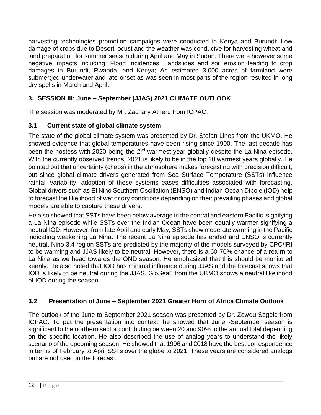harvesting technologies promotion campaigns were conducted in Kenya and Burundi; Low damage of crops due to Desert locust and the weather was conducive for harvesting wheat and land preparation for summer season during April and May in Sudan. There were however some negative impacts including; Flood Incidences; Landslides and soil erosion leading to crop damages in Burundi, Rwanda, and Kenya; An estimated 3,000 acres of farmland were submerged underwater and late-onset as was seen in most parts of the region resulted in long dry spells in March and April**.**

# <span id="page-11-0"></span>**3. SESSION III: June – September (JJAS) 2021 CLIMATE OUTLOOK**

The session was moderated by Mr. Zachary Atheru from ICPAC.

# <span id="page-11-1"></span>**3.1 Current state of global climate system**

The state of the global climate system was presented by Dr. Stefan Lines from the UKMO. He showed evidence that global temperatures have been rising since 1900. The last decade has been the hostess with 2020 being the 2<sup>ed</sup> warmest year globally despite the La Nina episode. With the currently observed trends, 2021 is likely to be in the top 10 warmest years globally. He pointed out that uncertainty (chaos) in the atmosphere makes forecasting with precision difficult, but since global climate drivers generated from Sea Surface Temperature (SSTs) influence rainfall variability, adoption of these systems eases difficulties associated with forecasting. Global drivers such as El Nino Southern Oscillation (ENSO) and Indian Ocean Dipole (IOD) help to forecast the likelihood of wet or dry conditions depending on their prevailing phases and global models are able to capture these drivers.

He also showed that SSTs have been below average in the central and eastern Pacific, signifying a La Nina episode while SSTs over the Indian Ocean have been equally warmer signifying a neutral IOD. However, from late April and early May, SSTs show moderate warming in the Pacific indicating weakening La Nina. The recent La Nina episode has ended and ENSO is currently neutral. Nino 3.4 region SSTs are predicted by the majority of the models surveyed by CPC/IRI to be warming and JJAS likely to be neutral. However, there is a 60-70% chance of a return to La Nina as we head towards the OND season. He emphasized that this should be monitored keenly. He also noted that IOD has minimal influence during JJAS and the forecast shows that IOD is likely to be neutral during the JJAS. GloSea6 from the UKMO shows a neutral likelihood of IOD during the season.

# <span id="page-11-2"></span>**3.2 Presentation of June – September 2021 Greater Horn of Africa Climate Outlook**

The outlook of the June to September 2021 season was presented by Dr. Zewdu Segele from ICPAC. To put the presentation into context, he showed that June -September season is significant to the northern sector contributing between 20 and 90% to the annual total depending on the specific location. He also described the use of analog years to understand the likely scenario of the upcoming season. He showed that 1996 and 2018 have the best correspondence in terms of February to April SSTs over the globe to 2021. These years are considered analogs but are not used in the forecast.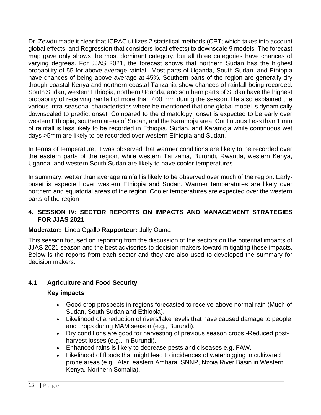Dr, Zewdu made it clear that ICPAC utilizes 2 statistical methods (CPT; which takes into account global effects, and Regression that considers local effects) to downscale 9 models. The forecast map gave only shows the most dominant category, but all three categories have chances of varying degrees. For JJAS 2021, the forecast shows that northern Sudan has the highest probability of 55 for above-average rainfall. Most parts of Uganda, South Sudan, and Ethiopia have chances of being above-average at 45%. Southern parts of the region are generally dry though coastal Kenya and northern coastal Tanzania show chances of rainfall being recorded. South Sudan, western Ethiopia, northern Uganda, and southern parts of Sudan have the highest probability of receiving rainfall of more than 400 mm during the season. He also explained the various intra-seasonal characteristics where he mentioned that one global model is dynamically downscaled to predict onset. Compared to the climatology, onset is expected to be early over western Ethiopia, southern areas of Sudan, and the Karamoja area. Continuous Less than 1 mm of rainfall is less likely to be recorded in Ethiopia, Sudan, and Karamoja while continuous wet days >5mm are likely to be recorded over western Ethiopia and Sudan.

In terms of temperature, it was observed that warmer conditions are likely to be recorded over the eastern parts of the region, while western Tanzania, Burundi, Rwanda, western Kenya, Uganda, and western South Sudan are likely to have cooler temperatures.

In summary, wetter than average rainfall is likely to be observed over much of the region. Earlyonset is expected over western Ethiopia and Sudan. Warmer temperatures are likely over northern and equatorial areas of the region. Cooler temperatures are expected over the western parts of the region

#### <span id="page-12-0"></span>**4. SESSION IV: SECTOR REPORTS ON IMPACTS AND MANAGEMENT STRATEGIES FOR JJAS 2021**

#### **Moderator:** Linda Ogallo **Rapporteur:** Jully Ouma

This session focused on reporting from the discussion of the sectors on the potential impacts of JJAS 2021 season and the best advisories to decision makers toward mitigating these impacts. Below is the reports from each sector and they are also used to developed the summary for decision makers.

# <span id="page-12-1"></span>**4.1 Agriculture and Food Security**

- Good crop prospects in regions forecasted to receive above normal rain (Much of Sudan, South Sudan and Ethiopia).
- Likelihood of a reduction of rivers/lake levels that have caused damage to people and crops during MAM season (e.g., Burundi).
- Dry conditions are good for harvesting of previous season crops -Reduced postharvest losses (e.g., in Burundi).
- Enhanced rains is likely to decrease pests and diseases e.g. FAW.
- Likelihood of floods that might lead to incidences of waterlogging in cultivated prone areas (e.g., Afar, eastern Amhara, SNNP, Nzoia River Basin in Western Kenya, Northern Somalia).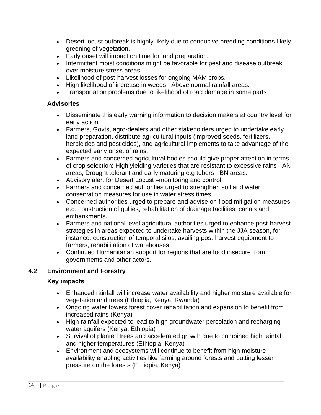- Desert locust outbreak is highly likely due to conducive breeding conditions-likely greening of vegetation.
- Early onset will impact on time for land preparation.
- Intermittent moist conditions might be favorable for pest and disease outbreak over moisture stress areas.
- Likelihood of post-harvest losses for ongoing MAM crops.
- High likelihood of increase in weeds –Above normal rainfall areas.
- Transportation problems due to likelihood of road damage in some parts

- Disseminate this early warning information to decision makers at country level for early action.
- Farmers, Govts, agro-dealers and other stakeholders urged to undertake early land preparation, distribute agricultural inputs (improved seeds, fertilizers, herbicides and pesticides), and agricultural implements to take advantage of the expected early onset of rains.
- Farmers and concerned agricultural bodies should give proper attention in terms of crop selection: High yielding varieties that are resistant to excessive rains –AN areas; Drought tolerant and early maturing e.g tubers - BN areas.
- Advisory alert for Desert Locust –monitoring and control
- Farmers and concerned authorities urged to strengthen soil and water conservation measures for use in water stress times
- Concerned authorities urged to prepare and advise on flood mitigation measures e.g. construction of gullies, rehabilitation of drainage facilities, canals and embankments.
- Farmers and national level agricultural authorities urged to enhance post-harvest strategies in areas expected to undertake harvests within the JJA season, for instance, construction of temporal silos, availing post-harvest equipment to farmers, rehabilitation of warehouses
- Continued Humanitarian support for regions that are food insecure from governments and other actors.

# <span id="page-13-0"></span>**4.2 Environment and Forestry**

- Enhanced rainfall will increase water availability and higher moisture available for vegetation and trees (Ethiopia, Kenya, Rwanda)
- Ongoing water towers forest cover rehabilitation and expansion to benefit from increased rains (Kenya)
- High rainfall expected to lead to high groundwater percolation and recharging water aquifers (Kenya, Ethiopia)
- Survival of planted trees and accelerated growth due to combined high rainfall and higher temperatures (Ethiopia, Kenya)
- Environment and ecosystems will continue to benefit from high moisture availability enabling activities like farming around forests and putting lesser pressure on the forests (Ethiopia, Kenya)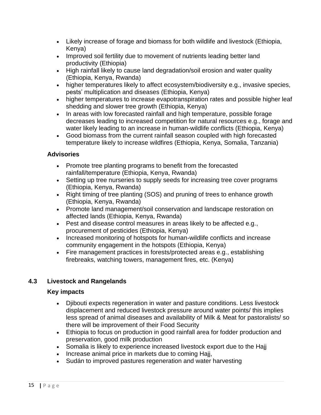- Likely increase of forage and biomass for both wildlife and livestock (Ethiopia, Kenya)
- Improved soil fertility due to movement of nutrients leading better land productivity (Ethiopia)
- High rainfall likely to cause land degradation/soil erosion and water quality (Ethiopia, Kenya, Rwanda)
- higher temperatures likely to affect ecosystem/biodiversity e.g., invasive species, pests' multiplication and diseases (Ethiopia, Kenya)
- higher temperatures to increase evapotranspiration rates and possible higher leaf shedding and slower tree growth (Ethiopia, Kenya)
- In areas with low forecasted rainfall and high temperature, possible forage decreases leading to increased competition for natural resources e.g., forage and water likely leading to an increase in human-wildlife conflicts (Ethiopia, Kenya)
- Good biomass from the current rainfall season coupled with high forecasted temperature likely to increase wildfires (Ethiopia, Kenya, Somalia, Tanzania)

- Promote tree planting programs to benefit from the forecasted rainfall/temperature (Ethiopia, Kenya, Rwanda)
- Setting up tree nurseries to supply seeds for increasing tree cover programs (Ethiopia, Kenya, Rwanda)
- Right timing of tree planting (SOS) and pruning of trees to enhance growth (Ethiopia, Kenya, Rwanda)
- Promote land management/soil conservation and landscape restoration on affected lands (Ethiopia, Kenya, Rwanda)
- Pest and disease control measures in areas likely to be affected e.g., procurement of pesticides (Ethiopia, Kenya)
- Increased monitoring of hotspots for human-wildlife conflicts and increase community engagement in the hotspots (Ethiopia, Kenya)
- Fire management practices in forests/protected areas e.g., establishing firebreaks, watching towers, management fires, etc. (Kenya)

# <span id="page-14-0"></span>**4.3 Livestock and Rangelands**

- Djibouti expects regeneration in water and pasture conditions. Less livestock displacement and reduced livestock pressure around water points/ this implies less spread of animal diseases and availability of Milk & Meat for pastoralists/ so there will be improvement of their Food Security
- Ethiopia to focus on production in good rainfall area for fodder production and preservation, good milk production
- Somalia is likely to experience increased livestock export due to the Hajj
- Increase animal price in markets due to coming Hajj,
- Sudán to improved pastures regeneration and water harvesting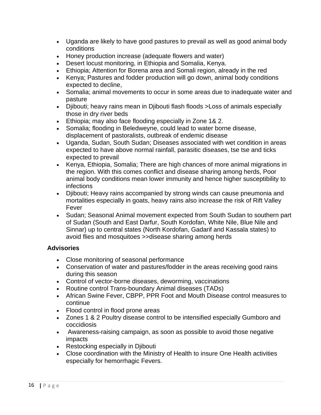- Uganda are likely to have good pastures to prevail as well as good animal body conditions
- Honey production increase (adequate flowers and water)
- Desert locust monitoring, in Ethiopia and Somalia, Kenya.
- Ethiopia; Attention for Borena area and Somali region, already in the red
- Kenya; Pastures and fodder production will go down, animal body conditions expected to decline,
- Somalia; animal movements to occur in some areas due to inadequate water and pasture
- Djibouti; heavy rains mean in Djibouti flash floods >Loss of animals especially those in dry river beds
- Ethiopia; may also face flooding especially in Zone 1& 2.
- Somalia; flooding in Beledweyne, could lead to water borne disease, displacement of pastoralists, outbreak of endemic disease
- Uganda, Sudan, South Sudan; Diseases associated with wet condition in areas expected to have above normal rainfall, parasitic diseases, tse tse and ticks expected to prevail
- Kenya, Ethiopia, Somalia; There are high chances of more animal migrations in the region. With this comes conflict and disease sharing among herds, Poor animal body conditions mean lower immunity and hence higher susceptibility to infections
- Djibouti; Heavy rains accompanied by strong winds can cause pneumonia and mortalities especially in goats, heavy rains also increase the risk of Rift Valley Fever
- Sudan; Seasonal Animal movement expected from South Sudan to southern part of Sudan (South and East Darfur, South Kordofan, White Nile, Blue Nile and Sinnar) up to central states (North Kordofan, Gadarif and Kassala states) to avoid flies and mosquitoes >>disease sharing among herds

- Close monitoring of seasonal performance
- Conservation of water and pastures/fodder in the areas receiving good rains during this season
- Control of vector-borne diseases, deworming, vaccinations
- Routine control Trans-boundary Animal diseases (TADs)
- African Swine Fever, CBPP, PPR Foot and Mouth Disease control measures to continue
- Flood control in flood prone areas
- Zones 1 & 2 Poultry disease control to be intensified especially Gumboro and coccidiosis
- Awareness-raising campaign, as soon as possible to avoid those negative impacts
- Restocking especially in Djibouti
- Close coordination with the Ministry of Health to insure One Health activities especially for hemorrhagic Fevers.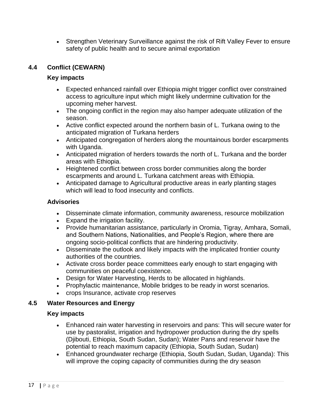• Strengthen Veterinary Surveillance against the risk of Rift Valley Fever to ensure safety of public health and to secure animal exportation

# <span id="page-16-0"></span>**4.4 Conflict (CEWARN)**

#### **Key impacts**

- Expected enhanced rainfall over Ethiopia might trigger conflict over constrained access to agriculture input which might likely undermine cultivation for the upcoming meher harvest.
- The ongoing conflict in the region may also hamper adequate utilization of the season.
- Active conflict expected around the northern basin of L. Turkana owing to the anticipated migration of Turkana herders
- Anticipated congregation of herders along the mountainous border escarpments with Uganda.
- Anticipated migration of herders towards the north of L. Turkana and the border areas with Ethiopia.
- Heightened conflict between cross border communities along the border escarpments and around L. Turkana catchment areas with Ethiopia.
- Anticipated damage to Agricultural productive areas in early planting stages which will lead to food insecurity and conflicts.

#### **Advisories**

- Disseminate climate information, community awareness, resource mobilization
- Expand the irrigation facility.
- Provide humanitarian assistance, particularly in Oromia, Tigray, Amhara, Somali, and Southern Nations, Nationalities, and People's Region, where there are ongoing socio-political conflicts that are hindering productivity.
- Disseminate the outlook and likely impacts with the implicated frontier county authorities of the countries.
- Activate cross border peace committees early enough to start engaging with communities on peaceful coexistence.
- Design for Water Harvesting, Herds to be allocated in highlands.
- Prophylactic maintenance, Mobile bridges to be ready in worst scenarios.
- crops Insurance, activate crop reserves

#### <span id="page-16-1"></span>**4.5 Water Resources and Energy**

- Enhanced rain water harvesting in reservoirs and pans: This will secure water for use by pastoralist, irrigation and hydropower production during the dry spells (Djibouti, Ethiopia, South Sudan, Sudan); Water Pans and reservoir have the potential to reach maximum capacity (Ethiopia, South Sudan, Sudan)
- Enhanced groundwater recharge (Ethiopia, South Sudan, Sudan, Uganda): This will improve the coping capacity of communities during the dry season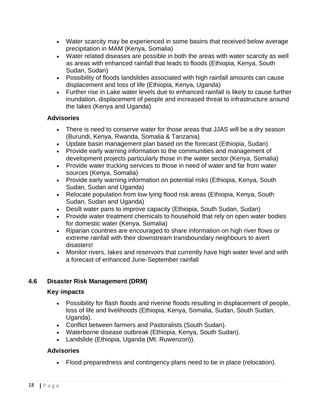- Water scarcity may be experienced in some basins that received below average precipitation in MAM (Kenya, Somalia)
- Water related diseases are possible in both the areas with water scarcity as well as areas with enhanced rainfall that leads to floods (Ethiopia, Kenya, South Sudan, Sudan)
- Possibility of floods landslides associated with high rainfall amounts can cause displacement and loss of life (Ethiopia, Kenya, Uganda)
- Further rise in Lake water levels due to enhanced rainfall is likely to cause further inundation, displacement of people and increased threat to infrastructure around the lakes (Kenya and Uganda)

- There is need to conserve water for those areas that JJAS will be a dry season (Burundi, Kenya, Rwanda, Somalia & Tanzania)
- Update basin management plan based on the forecast (Ethiopia, Sudan)
- Provide early warning information to the communities and management of development projects particularly those in the water sector (Kenya, Somalia)
- Provide water trucking services to those in need of water and far from water sources (Kenya, Somalia)
- Provide early warning information on potential risks (Ethiopia, Kenya, South Sudan, Sudan and Uganda)
- Relocate population from low lying flood risk areas (Ethiopia, Kenya, South Sudan, Sudan and Uganda)
- Desilt water pans to improve capacity (Ethiopia, South Sudan, Sudan)
- Provide water treatment chemicals to household that rely on open water bodies for domestic water (Kenya, Somalia)
- Riparian countries are encouraged to share information on high river flows or extreme rainfall with their downstream transboundary neighbours to avert disasters!
- Monitor rivers, lakes and reservoirs that currently have high water level and with a forecast of enhanced June-September rainfall

#### <span id="page-17-0"></span>**4.6 Disaster Risk Management (DRM)**

#### **Key impacts**

- Possibility for flash floods and riverine floods resulting in displacement of people, loss of life and livelihoods (Ethiopia, Kenya, Somalia, Sudan, South Sudan, Uganda).
- Conflict between farmers and Pastoralists (South Sudan).
- Waterborne disease outbreak (Ethiopia, Kenya, South Sudan).
- Landslide (Ethiopia, Uganda (Mt. Ruwenzori)).

#### **Advisories**

• Flood preparedness and contingency plans need to be in place (relocation).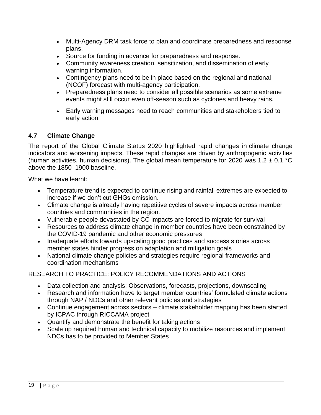- Multi-Agency DRM task force to plan and coordinate preparedness and response plans.
- Source for funding in advance for preparedness and response.
- Community awareness creation, sensitization, and dissemination of early warning information.
- Contingency plans need to be in place based on the regional and national (NCOF) forecast with multi-agency participation.
- Preparedness plans need to consider all possible scenarios as some extreme events might still occur even off-season such as cyclones and heavy rains.
- Early warning messages need to reach communities and stakeholders tied to early action.

#### <span id="page-18-0"></span>**4.7 Climate Change**

The report of the Global Climate Status 2020 highlighted rapid changes in climate change indicators and worsening impacts. These rapid changes are driven by anthropogenic activities (human activities, human decisions). The global mean temperature for 2020 was 1.2  $\pm$  0.1 °C above the 1850–1900 baseline.

#### What we have learnt:

- Temperature trend is expected to continue rising and rainfall extremes are expected to increase if we don't cut GHGs emission.
- Climate change is already having repetitive cycles of severe impacts across member countries and communities in the region.
- Vulnerable people devastated by CC impacts are forced to migrate for survival
- Resources to address climate change in member countries have been constrained by the COVID-19 pandemic and other economic pressures
- Inadequate efforts towards upscaling good practices and success stories across member states hinder progress on adaptation and mitigation goals
- National climate change policies and strategies require regional frameworks and coordination mechanisms

# RESEARCH TO PRACTICE: POLICY RECOMMENDATIONS AND ACTIONS

- Data collection and analysis: Observations, forecasts, projections, downscaling
- Research and information have to target member countries' formulated climate actions through NAP / NDCs and other relevant policies and strategies
- Continue engagement across sectors climate stakeholder mapping has been started by ICPAC through RICCAMA project
- Quantify and demonstrate the benefit for taking actions
- Scale up required human and technical capacity to mobilize resources and implement NDCs has to be provided to Member States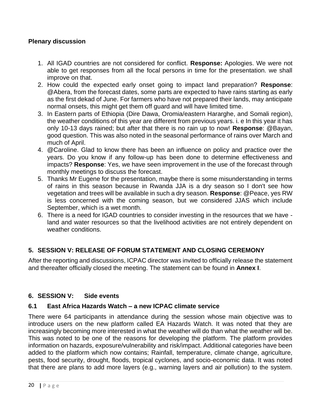#### **Plenary discussion**

- 1. All IGAD countries are not considered for conflict. **Response:** Apologies. We were not able to get responses from all the focal persons in time for the presentation. we shall improve on that.
- 2. How could the expected early onset going to impact land preparation? **Response**: @Abera, from the forecast dates, some parts are expected to have rains starting as early as the first dekad of June. For farmers who have not prepared their lands, may anticipate normal onsets, this might get them off guard and will have limited time.
- 3. In Eastern parts of Ethiopia (Dire Dawa, Oromia/eastern Hararghe, and Somali region), the weather conditions of this year are different from previous years. i. e In this year it has only 10-13 days rained; but after that there is no rain up to now! **Response**: @Bayan, good question. This was also noted in the seasonal performance of rains over March and much of April.
- 4. @Caroline. Glad to know there has been an influence on policy and practice over the years. Do you know if any follow-up has been done to determine effectiveness and impacts? **Response**: Yes, we have seen improvement in the use of the forecast through monthly meetings to discuss the forecast.
- 5. Thanks Mr Eugene for the presentation, maybe there is some misunderstanding in terms of rains in this season because in Rwanda JJA is a dry season so I don't see how vegetation and trees will be available in such a dry season. **Response**: @Peace, yes RW is less concerned with the coming season, but we considered JJAS which include September, which is a wet month.
- 6. There is a need for IGAD countries to consider investing in the resources that we have land and water resources so that the livelihood activities are not entirely dependent on weather conditions.

#### <span id="page-19-0"></span>**5. SESSION V: RELEASE OF FORUM STATEMENT AND CLOSING CEREMONY**

After the reporting and discussions, ICPAC director was invited to officially release the statement and thereafter officially closed the meeting. The statement can be found in **Annex I**.

#### <span id="page-19-1"></span>**6. SESSION V: Side events**

#### <span id="page-19-2"></span>**6.1 East Africa Hazards Watch – a new ICPAC climate service**

There were 64 participants in attendance during the session whose main objective was to introduce users on the new platform called EA Hazards Watch. It was noted that they are increasingly becoming more interested in what the weather will do than what the weather will be. This was noted to be one of the reasons for developing the platform. The platform provides information on hazards, exposure/vulnerability and risk/impact. Additional categories have been added to the platform which now contains; Rainfall, temperature, climate change, agriculture, pests, food security, drought, floods, tropical cyclones, and socio-economic data. It was noted that there are plans to add more layers (e.g., warning layers and air pollution) to the system.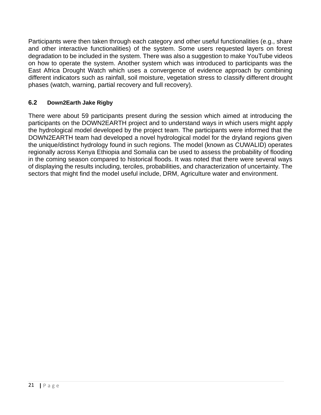Participants were then taken through each category and other useful functionalities (e.g., share and other interactive functionalities) of the system. Some users requested layers on forest degradation to be included in the system. There was also a suggestion to make YouTube videos on how to operate the system. Another system which was introduced to participants was the East Africa Drought Watch which uses a convergence of evidence approach by combining different indicators such as rainfall, soil moisture, vegetation stress to classify different drought phases (watch, warning, partial recovery and full recovery).

# <span id="page-20-0"></span>**6.2 Down2Earth Jake Rigby**

There were about 59 participants present during the session which aimed at introducing the participants on the DOWN2EARTH project and to understand ways in which users might apply the hydrological model developed by the project team. The participants were informed that the DOWN2EARTH team had developed a novel hydrological model for the dryland regions given the unique/distinct hydrology found in such regions. The model (known as CUWALID) operates regionally across Kenya Ethiopia and Somalia can be used to assess the probability of flooding in the coming season compared to historical floods. It was noted that there were several ways of displaying the results including, terciles, probabilities, and characterization of uncertainty. The sectors that might find the model useful include, DRM, Agriculture water and environment.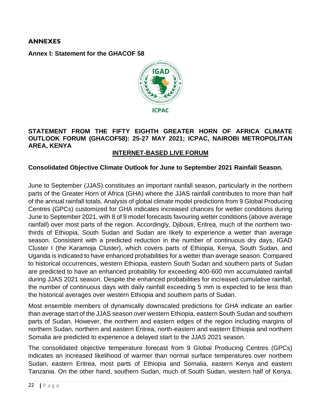#### <span id="page-21-0"></span>**ANNEXES**

<span id="page-21-1"></span>**Annex I: Statement for the GHACOF 58**



#### **STATEMENT FROM THE FIFTY EIGHTH GREATER HORN OF AFRICA CLIMATE OUTLOOK FORUM (GHACOF58): 25-27 MAY 2021; ICPAC, NAIROBI METROPOLITAN AREA, KENYA**

#### **INTERNET-BASED LIVE FORUM**

#### **Consolidated Objective Climate Outlook for June to September 2021 Rainfall Season.**

June to September (JJAS) constitutes an important rainfall season, particularly in the northern parts of the Greater Horn of Africa (GHA) where the JJAS rainfall contributes to more than half of the annual rainfall totals. Analysis of global climate model predictions from 9 Global Producing Centres (GPCs) customized for GHA indicates increased chances for wetter conditions during June to September 2021, with 8 of 9 model forecasts favouring wetter conditions (above average rainfall) over most parts of the region. Accordingly, Djibouti, Eritrea, much of the northern twothirds of Ethiopia, South Sudan and Sudan are likely to experience a wetter than average season. Consistent with a predicted reduction in the number of continuous dry days, IGAD Cluster I (the Karamoja Cluster), which covers parts of Ethiopia, Kenya, South Sudan, and Uganda is indicated to have enhanced probabilities for a wetter than average season. Compared to historical occurrences, western Ethiopia, eastern South Sudan and southern parts of Sudan are predicted to have an enhanced probability for exceeding 400-600 mm accumulated rainfall during JJAS 2021 season. Despite the enhanced probabilities for increased cumulative rainfall, the number of continuous days with daily rainfall exceeding 5 mm is expected to be less than the historical averages over western Ethiopia and southern parts of Sudan.

Most ensemble members of dynamically downscaled predictions for GHA indicate an earlier than average start of the JJAS season over western Ethiopia, eastern South Sudan and southern parts of Sudan. However, the northern and eastern edges of the region including margins of northern Sudan, northern and eastern Eritrea, north-eastern and eastern Ethiopia and northern Somalia are predicted to experience a delayed start to the JJAS 2021 season.

The consolidated objective temperature forecast from 9 Global Producing Centres (GPCs) indicates an increased likelihood of warmer than normal surface temperatures over northern Sudan, eastern Eritrea, most parts of Ethiopia and Somalia, eastern Kenya and eastern Tanzania. On the other hand, southern Sudan, much of South Sudan, western half of Kenya,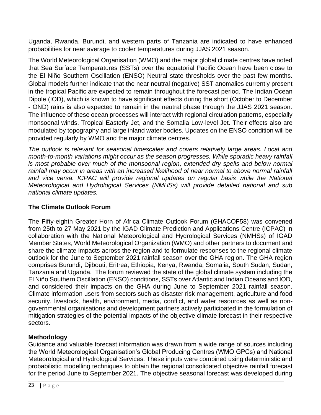Uganda, Rwanda, Burundi, and western parts of Tanzania are indicated to have enhanced probabilities for near average to cooler temperatures during JJAS 2021 season.

The World Meteorological Organisation (WMO) and the major global climate centres have noted that Sea Surface Temperatures (SSTs) over the equatorial Pacific Ocean have been close to the El Niño Southern Oscillation (ENSO) Neutral state thresholds over the past few months. Global models further indicate that the near neutral (negative) SST anomalies currently present in the tropical Pacific are expected to remain throughout the forecast period. The Indian Ocean Dipole (IOD), which is known to have significant effects during the short (October to December - OND) rains is also expected to remain in the neutral phase through the JJAS 2021 season. The influence of these ocean processes will interact with regional circulation patterns, especially monsoonal winds, Tropical Easterly Jet, and the Somalia Low-level Jet. Their effects also are modulated by topography and large inland water bodies. Updates on the ENSO condition will be provided regularly by WMO and the major climate centres.

*The outlook is relevant for seasonal timescales and covers relatively large areas. Local and month-to-month variations might occur as the season progresses. While sporadic heavy rainfall*  is most probable over much of the monsoonal region, extended dry spells and below normal rainfall may occur in areas with an increased likelihood of near normal to above normal rainfall and vice versa. ICPAC will provide regional updates on regular basis while the National *Meteorological and Hydrological Services (NMHSs) will provide detailed national and sub national climate updates.*

# **The Climate Outlook Forum**

The Fifty-eighth Greater Horn of Africa Climate Outlook Forum (GHACOF58) was convened from 25th to 27 May 2021 by the IGAD Climate Prediction and Applications Centre (ICPAC) in collaboration with the National Meteorological and Hydrological Services (NMHSs) of IGAD Member States, World Meteorological Organization (WMO) and other partners to document and share the climate impacts across the region and to formulate responses to the regional climate outlook for the June to September 2021 rainfall season over the GHA region. The GHA region comprises Burundi, Djibouti, Eritrea, Ethiopia, Kenya, Rwanda, Somalia, South Sudan, Sudan, Tanzania and Uganda. The forum reviewed the state of the global climate system including the El Niño Southern Oscillation (ENSO) conditions, SSTs over Atlantic and Indian Oceans and IOD, and considered their impacts on the GHA during June to September 2021 rainfall season. Climate information users from sectors such as disaster risk management, agriculture and food security, livestock, health, environment, media, conflict, and water resources as well as nongovernmental organisations and development partners actively participated in the formulation of mitigation strategies of the potential impacts of the objective climate forecast in their respective sectors.

# **Methodology**

Guidance and valuable forecast information was drawn from a wide range of sources including the World Meteorological Organisation's Global Producing Centres (WMO GPCs) and National Meteorological and Hydrological Services. These inputs were combined using deterministic and probabilistic modelling techniques to obtain the regional consolidated objective rainfall forecast for the period June to September 2021. The objective seasonal forecast was developed during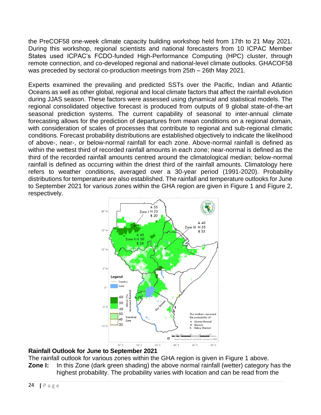the PreCOF58 one-week climate capacity building workshop held from 17th to 21 May 2021. During this workshop, regional scientists and national forecasters from 10 ICPAC Member States used ICPAC's FCDO-funded High-Performance Computing (HPC) cluster, through remote connection, and co-developed regional and national-level climate outlooks. GHACOF58 was preceded by sectoral co-production meetings from 25th – 26th May 2021.

Experts examined the prevailing and predicted SSTs over the Pacific, Indian and Atlantic Oceans as well as other global, regional and local climate factors that affect the rainfall evolution during JJAS season. These factors were assessed using dynamical and statistical models. The regional consolidated objective forecast is produced from outputs of 9 global state-of-the-art seasonal prediction systems. The current capability of seasonal to inter-annual climate forecasting allows for the prediction of departures from mean conditions on a regional domain, with consideration of scales of processes that contribute to regional and sub-regional climatic conditions. Forecast probability distributions are established objectively to indicate the likelihood of above-, near-, or below-normal rainfall for each zone. Above-normal rainfall is defined as within the wettest third of recorded rainfall amounts in each zone; near-normal is defined as the third of the recorded rainfall amounts centred around the climatological median; below-normal rainfall is defined as occurring within the driest third of the rainfall amounts. Climatology here refers to weather conditions, averaged over a 30-year period (1991-2020). Probability distributions for temperature are also established. The rainfall and temperature outlooks for June to September 2021 for various zones within the GHA region are given in Figure 1 and Figure 2, respectively.



#### **Rainfall Outlook for June to September 2021**

The rainfall outlook for various zones within the GHA region is given in Figure 1 above. **Zone I:** In this Zone (dark green shading) the above normal rainfall (wetter) category has the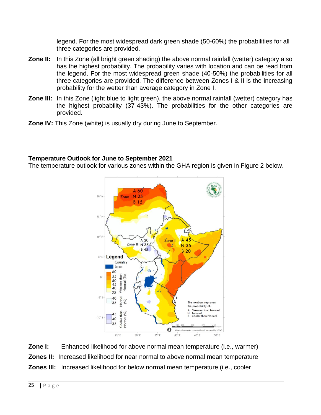legend. For the most widespread dark green shade (50-60%) the probabilities for all three categories are provided.

- **Zone II:** In this Zone (all bright green shading) the above normal rainfall (wetter) category also has the highest probability. The probability varies with location and can be read from the legend. For the most widespread green shade (40-50%) the probabilities for all three categories are provided. The difference between Zones I & II is the increasing probability for the wetter than average category in Zone I.
- **Zone III:** In this Zone (light blue to light green), the above normal rainfall (wetter) category has the highest probability (37-43%). The probabilities for the other categories are provided.
- **Zone IV:** This Zone (white) is usually dry during June to September.

#### **Temperature Outlook for June to September 2021**

The temperature outlook for various zones within the GHA region is given in Figure 2 below.



**Zone I:** Enhanced likelihood for above normal mean temperature (i.e., warmer) **Zones II:** Increased likelihood for near normal to above normal mean temperature **Zones III:** Increased likelihood for below normal mean temperature (i.e., cooler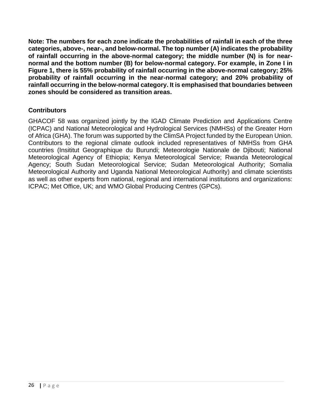**Note: The numbers for each zone indicate the probabilities of rainfall in each of the three categories, above-, near-, and below-normal. The top number (A) indicates the probability of rainfall occurring in the above-normal category; the middle number (N) is for nearnormal and the bottom number (B) for below-normal category. For example, in Zone I in Figure 1, there is 55% probability of rainfall occurring in the above-normal category; 25% probability of rainfall occurring in the near-normal category; and 20% probability of rainfall occurring in the below-normal category. It is emphasised that boundaries between zones should be considered as transition areas.**

#### **Contributors**

GHACOF 58 was organized jointly by the IGAD Climate Prediction and Applications Centre (ICPAC) and National Meteorological and Hydrological Services (NMHSs) of the Greater Horn of Africa (GHA). The forum was supported by the ClimSA Project funded by the European Union. Contributors to the regional climate outlook included representatives of NMHSs from GHA countries (Insititut Geographique du Burundi; Meteorologie Nationale de Djibouti; National Meteorological Agency of Ethiopia; Kenya Meteorological Service; Rwanda Meteorological Agency; South Sudan Meteorological Service; Sudan Meteorological Authority; Somalia Meteorological Authority and Uganda National Meteorological Authority) and climate scientists as well as other experts from national, regional and international institutions and organizations: ICPAC; Met Office, UK; and WMO Global Producing Centres (GPCs).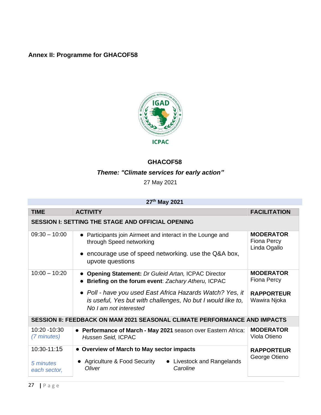# <span id="page-26-0"></span>**Annex II: Programme for GHACOF58**



# **GHACOF58**

# *Theme: "Climate services for early action"*

27 May 2021

### **27th May 2021**

| <b>TIME</b>                  | <b>ACTIVITY</b>                                                                                                                                    |                                        | <b>FACILITATION</b>                                    |
|------------------------------|----------------------------------------------------------------------------------------------------------------------------------------------------|----------------------------------------|--------------------------------------------------------|
|                              | <b>SESSION I: SETTING THE STAGE AND OFFICIAL OPENING</b>                                                                                           |                                        |                                                        |
| $09:30 - 10:00$              | • Participants join Airmeet and interact in the Lounge and<br>through Speed networking                                                             |                                        | <b>MODERATOR</b><br><b>Fiona Percy</b><br>Linda Ogallo |
|                              | encourage use of speed networking. use the Q&A box,<br>upvote questions                                                                            |                                        |                                                        |
| $10:00 - 10:20$              | • Opening Statement: Dr Guleid Artan, ICPAC Director<br>Briefing on the forum event: Zachary Atheru, ICPAC                                         |                                        | <b>MODERATOR</b><br><b>Fiona Percy</b>                 |
|                              | • Poll - have you used East Africa Hazards Watch? Yes, it<br>is useful, Yes but with challenges, No but I would like to,<br>No I am not interested |                                        | <b>RAPPORTEUR</b><br>Wawira Njoka                      |
|                              | SESSION II: FEEDBACK ON MAM 2021 SEASONAL CLIMATE PERFORMANCE AND IMPACTS                                                                          |                                        |                                                        |
| 10:20 - 10:30<br>(7 minutes) | • Performance of March - May 2021 season over Eastern Africa:<br>Hussen Seid, ICPAC                                                                |                                        | <b>MODERATOR</b><br>Viola Otieno                       |
| 10:30-11:15                  | • Overview of March to May sector impacts                                                                                                          |                                        | <b>RAPPORTEUR</b>                                      |
| 5 minutes<br>each sector,    | • Agriculture & Food Security<br>Oliver                                                                                                            | • Livestock and Rangelands<br>Caroline | George Otieno                                          |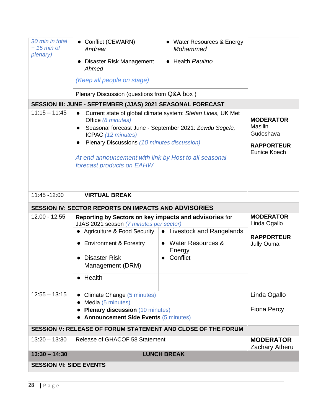| 30 min in total<br>$+ 15$ min of | • Conflict (CEWARN)<br>Andrew                                                                                                                                                 | • Water Resources & Energy<br>Mohammed                                                                                 |                                                                                             |
|----------------------------------|-------------------------------------------------------------------------------------------------------------------------------------------------------------------------------|------------------------------------------------------------------------------------------------------------------------|---------------------------------------------------------------------------------------------|
| plenary)                         | Disaster Risk Management<br>Ahmed                                                                                                                                             | • Health Paulino                                                                                                       |                                                                                             |
|                                  | (Keep all people on stage)                                                                                                                                                    |                                                                                                                        |                                                                                             |
|                                  | Plenary Discussion (questions from Q&A box)                                                                                                                                   |                                                                                                                        |                                                                                             |
|                                  | SESSION III: JUNE - SEPTEMBER (JJAS) 2021 SEASONAL FORECAST                                                                                                                   |                                                                                                                        |                                                                                             |
| $11:15 - 11:45$                  | Office (8 minutes)<br>ICPAC (12 minutes)<br>Plenary Discussions (10 minutes discussion)<br>At end announcement with link by Host to all seasonal<br>forecast products on EAHW | Current state of global climate system: Stefan Lines, UK Met<br>Seasonal forecast June - September 2021: Zewdu Segele, | <b>MODERATOR</b><br><b>Masilin</b><br>Gudoshava<br><b>RAPPORTEUR</b><br><b>Eunice Koech</b> |
| 11:45 - 12:00                    | <b>VIRTUAL BREAK</b>                                                                                                                                                          |                                                                                                                        |                                                                                             |
|                                  | <b>SESSION IV: SECTOR REPORTS ON IMPACTS AND ADVISORIES</b>                                                                                                                   |                                                                                                                        |                                                                                             |
| $12.00 - 12.55$                  | Reporting by Sectors on key impacts and advisories for<br>JJAS 2021 season (7 minutes per sector)                                                                             |                                                                                                                        | <b>MODERATOR</b><br>Linda Ogallo                                                            |
|                                  |                                                                                                                                                                               | • Agriculture & Food Security $\vert \bullet \vert$ Livestock and Rangelands                                           | <b>RAPPORTEUR</b>                                                                           |
|                                  | <b>Environment &amp; Forestry</b>                                                                                                                                             | <b>Water Resources &amp;</b><br>$\bullet$<br>Energy                                                                    | Jully Ouma                                                                                  |
|                                  | <b>Disaster Risk</b><br>Management (DRM)                                                                                                                                      | Conflict                                                                                                               |                                                                                             |
|                                  | $\bullet$ Health                                                                                                                                                              |                                                                                                                        |                                                                                             |
| $12:55 - 13:15$                  | Climate Change (5 minutes)<br>Media (5 minutes)                                                                                                                               |                                                                                                                        | Linda Ogallo                                                                                |
|                                  | • Plenary discussion (10 minutes)<br>• Announcement Side Events (5 minutes)                                                                                                   |                                                                                                                        | <b>Fiona Percy</b>                                                                          |
|                                  | SESSION V: RELEASE OF FORUM STATEMENT AND CLOSE OF THE FORUM                                                                                                                  |                                                                                                                        |                                                                                             |
| $13:20 - 13:30$                  | Release of GHACOF 58 Statement                                                                                                                                                |                                                                                                                        | <b>MODERATOR</b>                                                                            |
|                                  |                                                                                                                                                                               |                                                                                                                        | <b>Zachary Atheru</b>                                                                       |
| $13:30 - 14:30$                  |                                                                                                                                                                               | <b>LUNCH BREAK</b>                                                                                                     |                                                                                             |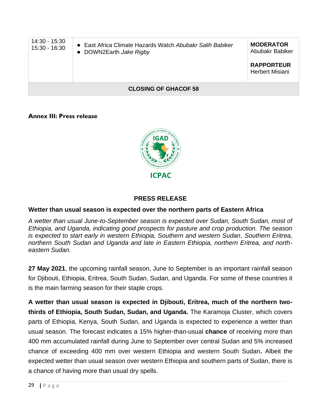| 14:30 - 15:30<br>15:30 - 16:30 | • East Africa Climate Hazards Watch Abubakr Salih Babiker<br>• DOWN2Earth Jake Rigby | <b>MODERATOR</b><br>Abubakr Babiker<br><b>RAPPORTEUR</b><br><b>Herbert Misiani</b> |
|--------------------------------|--------------------------------------------------------------------------------------|------------------------------------------------------------------------------------|
|                                | <b>CLOSING OF GHACOF 58</b>                                                          |                                                                                    |

#### <span id="page-28-0"></span>**Annex III: Press release**



#### **PRESS RELEASE**

#### **Wetter than usual season is expected over the northern parts of Eastern Africa**

*A wetter than usual June-to-September season is expected over Sudan, South Sudan, most of Ethiopia, and Uganda, indicating good prospects for pasture and crop production. The season is expected to start early in western Ethiopia, Southern and western Sudan, Southern Eritrea, northern South Sudan and Uganda and late in Eastern Ethiopia, northern Eritrea, and northeastern Sudan.* 

**27 May 2021**, the upcoming rainfall season, June to September is an important rainfall season for Djibouti, Ethiopia, Eritrea, South Sudan, Sudan, and Uganda. For some of these countries it is the main farming season for their staple crops.

**A wetter than usual season is expected in Djibouti, Eritrea, much of the northern twothirds of Ethiopia, South Sudan, Sudan, and Uganda.** The Karamoja Cluster, which covers parts of Ethiopia, Kenya, South Sudan, and Uganda is expected to experience a wetter than usual season. The forecast indicates a 15% higher-than-usual **chance** of receiving more than 400 mm accumulated rainfall during June to September over central Sudan and 5% increased chance of exceeding 400 mm over western Ethiopia and western South Sudan**.** Albeit the expected wetter than usual season over western Ethiopia and southern parts of Sudan, there is a chance of having more than usual dry spells.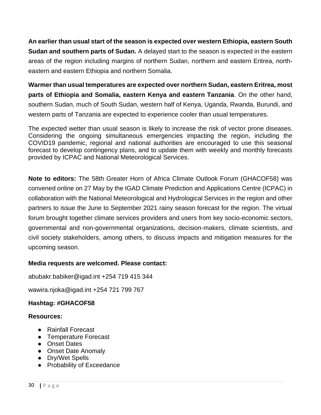**An earlier than usual start of the season is expected over western Ethiopia, eastern South Sudan and southern parts of Sudan.** A delayed start to the season is expected in the eastern areas of the region including margins of northern Sudan, northern and eastern Eritrea, northeastern and eastern Ethiopia and northern Somalia.

**Warmer than usual temperatures are expected over northern Sudan, eastern Eritrea, most parts of Ethiopia and Somalia, eastern Kenya and eastern Tanzania**. On the other hand, southern Sudan, much of South Sudan, western half of Kenya, Uganda, Rwanda, Burundi, and western parts of Tanzania are expected to experience cooler than usual temperatures.

The expected wetter than usual season is likely to increase the risk of vector prone diseases. Considering the ongoing simultaneous emergencies impacting the region, including the COVID19 pandemic, regional and national authorities are encouraged to use this seasonal forecast to develop contingency plans, and to update them with weekly and monthly forecasts provided by ICPAC and National Meteorological Services.

**Note to editors:** The 58th Greater Horn of Africa Climate Outlook Forum (GHACOF58) was convened online on 27 May by the IGAD Climate Prediction and Applications Centre (ICPAC) in collaboration with the National Meteorological and Hydrological Services in the region and other partners to issue the June to September 2021 rainy season forecast for the region. The virtual forum brought together climate services providers and users from key socio-economic sectors, governmental and non-governmental organizations, decision-makers, climate scientists, and civil society stakeholders, among others, to discuss impacts and mitigation measures for the upcoming season.

#### **Media requests are welcomed. Please contact:**

abubakr.babiker@igad.int +254 719 415 344

wawira.njoka@igad.int +254 721 799 767

# **Hashtag: #GHACOF58**

#### **Resources:**

- Rainfall Forecast
- Temperature Forecast
- Onset Dates
- Onset Date Anomaly
- Dry/Wet Spells
- Probability of Exceedance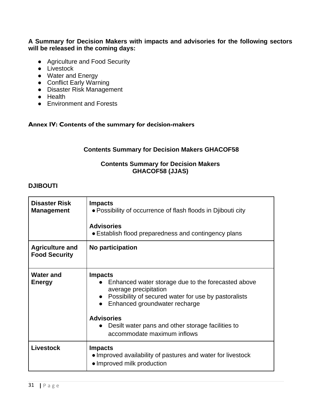#### **A Summary for Decision Makers with impacts and advisories for the following sectors will be released in the coming days:**

- Agriculture and Food Security
- Livestock
- Water and Energy
- Conflict Early Warning
- Disaster Risk Management
- Health
- Environment and Forests

#### <span id="page-30-0"></span>**Annex IV: Contents of the summary for decision-makers**

### **Contents Summary for Decision Makers GHACOF58**

#### **Contents Summary for Decision Makers GHACOF58 (JJAS)**

#### **DJIBOUTI**

| <b>Disaster Risk</b><br><b>Management</b>      | <b>Impacts</b><br>• Possibility of occurrence of flash floods in Djibouti city<br><b>Advisories</b><br>• Establish flood preparedness and contingency plans                                                                                                                                                  |
|------------------------------------------------|--------------------------------------------------------------------------------------------------------------------------------------------------------------------------------------------------------------------------------------------------------------------------------------------------------------|
| <b>Agriculture and</b><br><b>Food Security</b> | No participation                                                                                                                                                                                                                                                                                             |
| <b>Water and</b><br><b>Energy</b>              | <b>Impacts</b><br>Enhanced water storage due to the forecasted above<br>average precipitation<br>Possibility of secured water for use by pastoralists<br>Enhanced groundwater recharge<br><b>Advisories</b><br>Desilt water pans and other storage facilities to<br>$\bullet$<br>accommodate maximum inflows |
| <b>Livestock</b>                               | <b>Impacts</b><br>• Improved availability of pastures and water for livestock<br>• Improved milk production                                                                                                                                                                                                  |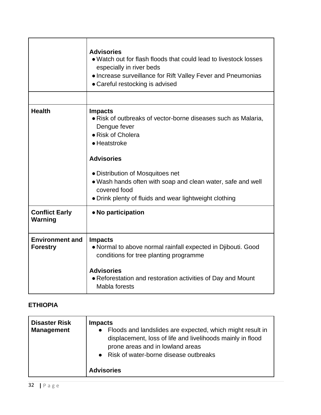|                                           | <b>Advisories</b><br>• Watch out for flash floods that could lead to livestock losses<br>especially in river beds<br>• Increase surveillance for Rift Valley Fever and Pneumonias<br>• Careful restocking is advised |
|-------------------------------------------|----------------------------------------------------------------------------------------------------------------------------------------------------------------------------------------------------------------------|
|                                           |                                                                                                                                                                                                                      |
| <b>Health</b>                             | <b>Impacts</b><br>• Risk of outbreaks of vector-borne diseases such as Malaria,<br>Dengue fever<br>• Risk of Cholera<br>• Heatstroke                                                                                 |
|                                           | <b>Advisories</b>                                                                                                                                                                                                    |
|                                           | • Distribution of Mosquitoes net<br>. Wash hands often with soap and clean water, safe and well<br>covered food<br>• Drink plenty of fluids and wear lightweight clothing                                            |
| <b>Conflict Early</b><br>Warning          | • No participation                                                                                                                                                                                                   |
| <b>Environment and</b><br><b>Forestry</b> | <b>Impacts</b><br>• Normal to above normal rainfall expected in Djibouti. Good<br>conditions for tree planting programme                                                                                             |
|                                           | <b>Advisories</b><br>• Reforestation and restoration activities of Day and Mount<br>Mabla forests                                                                                                                    |

# **ETHIOPIA**

| <b>Disaster Risk</b><br><b>Management</b> | <b>Impacts</b><br>• Floods and landslides are expected, which might result in<br>displacement, loss of life and livelihoods mainly in flood<br>prone areas and in lowland areas<br>• Risk of water-borne disease outbreaks |
|-------------------------------------------|----------------------------------------------------------------------------------------------------------------------------------------------------------------------------------------------------------------------------|
|                                           | <b>Advisories</b>                                                                                                                                                                                                          |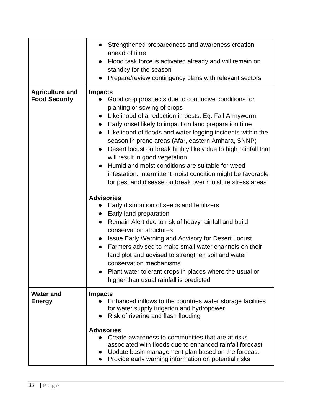|                                                | Strengthened preparedness and awareness creation<br>ahead of time<br>Flood task force is activated already and will remain on<br>$\bullet$<br>standby for the season<br>Prepare/review contingency plans with relevant sectors                                                                                                                                                                                                                                                                                                                                                                                                                              |
|------------------------------------------------|-------------------------------------------------------------------------------------------------------------------------------------------------------------------------------------------------------------------------------------------------------------------------------------------------------------------------------------------------------------------------------------------------------------------------------------------------------------------------------------------------------------------------------------------------------------------------------------------------------------------------------------------------------------|
| <b>Agriculture and</b><br><b>Food Security</b> | <b>Impacts</b><br>Good crop prospects due to conducive conditions for<br>planting or sowing of crops<br>• Likelihood of a reduction in pests. Eg. Fall Armyworm<br>Early onset likely to impact on land preparation time<br>$\bullet$<br>Likelihood of floods and water logging incidents within the<br>season in prone areas (Afar, eastern Amhara, SNNP)<br>Desert locust outbreak highly likely due to high rainfall that<br>$\bullet$<br>will result in good vegetation<br>Humid and moist conditions are suitable for weed<br>infestation. Intermittent moist condition might be favorable<br>for pest and disease outbreak over moisture stress areas |
|                                                | <b>Advisories</b><br>Early distribution of seeds and fertilizers<br>$\bullet$<br>• Early land preparation<br>Remain Alert due to risk of heavy rainfall and build<br>$\bullet$<br>conservation structures<br>Issue Early Warning and Advisory for Desert Locust<br>$\bullet$<br>Farmers advised to make small water channels on their<br>$\bullet$<br>land plot and advised to strengthen soil and water<br>conservation mechanisms<br>Plant water tolerant crops in places where the usual or<br>higher than usual rainfall is predicted                                                                                                                   |
| <b>Water and</b><br><b>Energy</b>              | <b>Impacts</b><br>Enhanced inflows to the countries water storage facilities<br>for water supply irrigation and hydropower<br>Risk of riverine and flash flooding<br><b>Advisories</b><br>Create awareness to communities that are at risks<br>associated with floods due to enhanced rainfall forecast<br>Update basin management plan based on the forecast<br>Provide early warning information on potential risks                                                                                                                                                                                                                                       |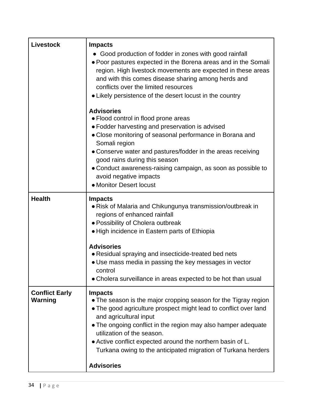| <b>Livestock</b>                 | <b>Impacts</b>                                                                                                                                                                                                                                                                                                                                                                                                                     |
|----------------------------------|------------------------------------------------------------------------------------------------------------------------------------------------------------------------------------------------------------------------------------------------------------------------------------------------------------------------------------------------------------------------------------------------------------------------------------|
|                                  | • Good production of fodder in zones with good rainfall<br>• Poor pastures expected in the Borena areas and in the Somali<br>region. High livestock movements are expected in these areas<br>and with this comes disease sharing among herds and<br>conflicts over the limited resources<br>• Likely persistence of the desert locust in the country                                                                               |
|                                  | <b>Advisories</b><br>• Flood control in flood prone areas<br>• Fodder harvesting and preservation is advised<br>• Close monitoring of seasonal performance in Borana and<br>Somali region                                                                                                                                                                                                                                          |
|                                  | • Conserve water and pastures/fodder in the areas receiving<br>good rains during this season<br>• Conduct awareness-raising campaign, as soon as possible to<br>avoid negative impacts<br>• Monitor Desert locust                                                                                                                                                                                                                  |
| <b>Health</b>                    | <b>Impacts</b><br>• Risk of Malaria and Chikungunya transmission/outbreak in<br>regions of enhanced rainfall<br>· Possibility of Cholera outbreak<br>• High incidence in Eastern parts of Ethiopia                                                                                                                                                                                                                                 |
|                                  | <b>Advisories</b><br>• Residual spraying and insecticide-treated bed nets<br>• Use mass media in passing the key messages in vector<br>control<br>• Cholera surveillance in areas expected to be hot than usual                                                                                                                                                                                                                    |
| <b>Conflict Early</b><br>Warning | <b>Impacts</b><br>• The season is the major cropping season for the Tigray region<br>. The good agriculture prospect might lead to conflict over land<br>and agricultural input<br>• The ongoing conflict in the region may also hamper adequate<br>utilization of the season.<br>• Active conflict expected around the northern basin of L.<br>Turkana owing to the anticipated migration of Turkana herders<br><b>Advisories</b> |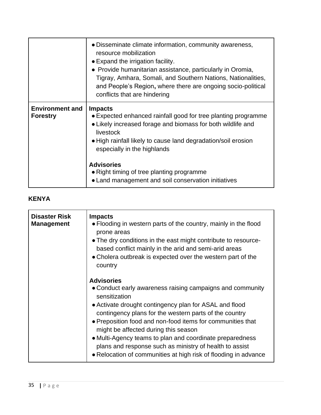|                                           | • Disseminate climate information, community awareness,<br>resource mobilization<br>• Expand the irrigation facility.<br>• Provide humanitarian assistance, particularly in Oromia,<br>Tigray, Amhara, Somali, and Southern Nations, Nationalities,<br>and People's Region, where there are ongoing socio-political<br>conflicts that are hindering                                  |
|-------------------------------------------|--------------------------------------------------------------------------------------------------------------------------------------------------------------------------------------------------------------------------------------------------------------------------------------------------------------------------------------------------------------------------------------|
| <b>Environment and</b><br><b>Forestry</b> | <b>Impacts</b><br>• Expected enhanced rainfall good for tree planting programme<br>• Likely increased forage and biomass for both wildlife and<br>livestock<br>• High rainfall likely to cause land degradation/soil erosion<br>especially in the highlands<br><b>Advisories</b><br>• Right timing of tree planting programme<br>• Land management and soil conservation initiatives |

# **KENYA**

| <b>Disaster Risk</b><br><b>Management</b> | <b>Impacts</b><br>• Flooding in western parts of the country, mainly in the flood<br>prone areas<br>• The dry conditions in the east might contribute to resource-<br>based conflict mainly in the arid and semi-arid areas<br>• Cholera outbreak is expected over the western part of the<br>country                                                                                                                                                                                                               |
|-------------------------------------------|---------------------------------------------------------------------------------------------------------------------------------------------------------------------------------------------------------------------------------------------------------------------------------------------------------------------------------------------------------------------------------------------------------------------------------------------------------------------------------------------------------------------|
|                                           | <b>Advisories</b><br>• Conduct early awareness raising campaigns and community<br>sensitization<br>• Activate drought contingency plan for ASAL and flood<br>contingency plans for the western parts of the country<br>• Preposition food and non-food items for communities that<br>might be affected during this season<br>• Multi-Agency teams to plan and coordinate preparedness<br>plans and response such as ministry of health to assist<br>• Relocation of communities at high risk of flooding in advance |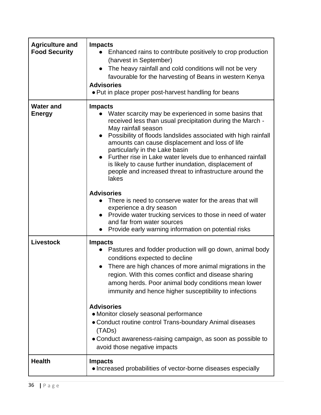| <b>Agriculture and</b><br><b>Food Security</b> | <b>Impacts</b><br>Enhanced rains to contribute positively to crop production<br>(harvest in September)<br>The heavy rainfall and cold conditions will not be very<br>favourable for the harvesting of Beans in western Kenya<br><b>Advisories</b><br>• Put in place proper post-harvest handling for beans                                                                                                                                                                                                                                                                                      |
|------------------------------------------------|-------------------------------------------------------------------------------------------------------------------------------------------------------------------------------------------------------------------------------------------------------------------------------------------------------------------------------------------------------------------------------------------------------------------------------------------------------------------------------------------------------------------------------------------------------------------------------------------------|
| <b>Water and</b><br><b>Energy</b>              | <b>Impacts</b><br>Water scarcity may be experienced in some basins that<br>received less than usual precipitation during the March -<br>May rainfall season<br>Possibility of floods landslides associated with high rainfall<br>amounts can cause displacement and loss of life<br>particularly in the Lake basin<br>Further rise in Lake water levels due to enhanced rainfall<br>is likely to cause further inundation, displacement of<br>people and increased threat to infrastructure around the<br>lakes<br><b>Advisories</b><br>There is need to conserve water for the areas that will |
|                                                | experience a dry season<br>Provide water trucking services to those in need of water<br>$\bullet$<br>and far from water sources<br>Provide early warning information on potential risks                                                                                                                                                                                                                                                                                                                                                                                                         |
| <b>Livestock</b>                               | <b>Impacts</b><br>Pastures and fodder production will go down, animal body<br>conditions expected to decline<br>There are high chances of more animal migrations in the<br>region. With this comes conflict and disease sharing<br>among herds. Poor animal body conditions mean lower<br>immunity and hence higher susceptibility to infections                                                                                                                                                                                                                                                |
|                                                | <b>Advisories</b><br>• Monitor closely seasonal performance<br>• Conduct routine control Trans-boundary Animal diseases<br>(TADs)<br>• Conduct awareness-raising campaign, as soon as possible to<br>avoid those negative impacts                                                                                                                                                                                                                                                                                                                                                               |
| <b>Health</b>                                  | <b>Impacts</b><br>• Increased probabilities of vector-borne diseases especially                                                                                                                                                                                                                                                                                                                                                                                                                                                                                                                 |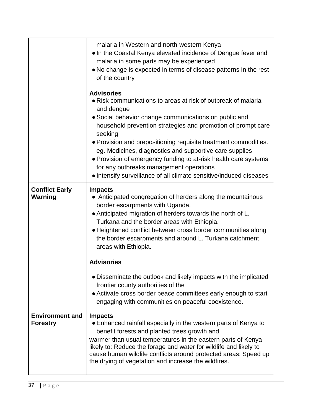|                                           | malaria in Western and north-western Kenya<br>• In the Coastal Kenya elevated incidence of Dengue fever and<br>malaria in some parts may be experienced<br>• No change is expected in terms of disease patterns in the rest<br>of the country                                                                                                                                                                                                                                                                                                          |
|-------------------------------------------|--------------------------------------------------------------------------------------------------------------------------------------------------------------------------------------------------------------------------------------------------------------------------------------------------------------------------------------------------------------------------------------------------------------------------------------------------------------------------------------------------------------------------------------------------------|
|                                           | <b>Advisories</b><br>• Risk communications to areas at risk of outbreak of malaria<br>and dengue<br>• Social behavior change communications on public and<br>household prevention strategies and promotion of prompt care<br>seeking<br>• Provision and prepositioning requisite treatment commodities.<br>eg. Medicines, diagnostics and supportive care supplies<br>. Provision of emergency funding to at-risk health care systems<br>for any outbreaks management operations<br>. Intensify surveillance of all climate sensitive/induced diseases |
| <b>Conflict Early</b><br><b>Warning</b>   | <b>Impacts</b><br>• Anticipated congregation of herders along the mountainous<br>border escarpments with Uganda.<br>• Anticipated migration of herders towards the north of L.<br>Turkana and the border areas with Ethiopia.<br>• Heightened conflict between cross border communities along<br>the border escarpments and around L. Turkana catchment<br>areas with Ethiopia.                                                                                                                                                                        |
|                                           | <b>Advisories</b>                                                                                                                                                                                                                                                                                                                                                                                                                                                                                                                                      |
|                                           | • Disseminate the outlook and likely impacts with the implicated<br>frontier county authorities of the<br>• Activate cross border peace committees early enough to start<br>engaging with communities on peaceful coexistence.                                                                                                                                                                                                                                                                                                                         |
| <b>Environment and</b><br><b>Forestry</b> | <b>Impacts</b><br>• Enhanced rainfall especially in the western parts of Kenya to<br>benefit forests and planted trees growth and<br>warmer than usual temperatures in the eastern parts of Kenya<br>likely to: Reduce the forage and water for wildlife and likely to<br>cause human wildlife conflicts around protected areas; Speed up<br>the drying of vegetation and increase the wildfires.                                                                                                                                                      |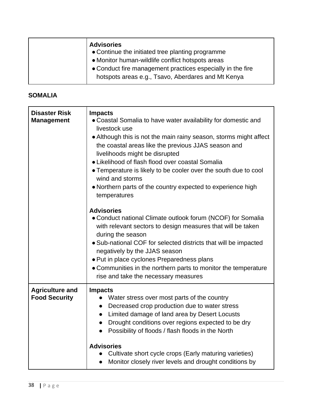| <b>Advisories</b>                                          |
|------------------------------------------------------------|
| • Continue the initiated tree planting programme           |
| • Monitor human-wildlife conflict hotspots areas           |
| • Conduct fire management practices especially in the fire |
| hotspots areas e.g., Tsavo, Aberdares and Mt Kenya         |

# **SOMALIA**

| <b>Disaster Risk</b><br><b>Management</b>      | <b>Impacts</b><br>• Coastal Somalia to have water availability for domestic and<br>livestock use<br>• Although this is not the main rainy season, storms might affect<br>the coastal areas like the previous JJAS season and<br>livelihoods might be disrupted<br>• Likelihood of flash flood over coastal Somalia<br>• Temperature is likely to be cooler over the south due to cool<br>wind and storms<br>• Northern parts of the country expected to experience high<br>temperatures |
|------------------------------------------------|-----------------------------------------------------------------------------------------------------------------------------------------------------------------------------------------------------------------------------------------------------------------------------------------------------------------------------------------------------------------------------------------------------------------------------------------------------------------------------------------|
|                                                | <b>Advisories</b><br>• Conduct national Climate outlook forum (NCOF) for Somalia<br>with relevant sectors to design measures that will be taken<br>during the season<br>• Sub-national COF for selected districts that will be impacted<br>negatively by the JJAS season<br>• Put in place cyclones Preparedness plans<br>• Communities in the northern parts to monitor the temperature<br>rise and take the necessary measures                                                        |
| <b>Agriculture and</b><br><b>Food Security</b> | <b>Impacts</b><br>Water stress over most parts of the country<br>Decreased crop production due to water stress<br>$\bullet$<br>Limited damage of land area by Desert Locusts<br>Drought conditions over regions expected to be dry<br>$\bullet$<br>Possibility of floods / flash floods in the North<br>$\bullet$<br><b>Advisories</b><br>Cultivate short cycle crops (Early maturing varieties)<br>Monitor closely river levels and drought conditions by                              |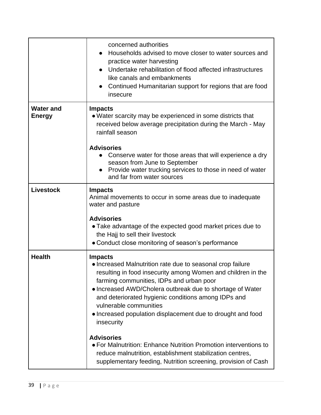|                                   | concerned authorities<br>Households advised to move closer to water sources and<br>$\bullet$<br>practice water harvesting<br>Undertake rehabilitation of flood affected infrastructures<br>like canals and embankments<br>Continued Humanitarian support for regions that are food<br>insecure                                                                                                                                                                                                                                                                                                                                             |
|-----------------------------------|--------------------------------------------------------------------------------------------------------------------------------------------------------------------------------------------------------------------------------------------------------------------------------------------------------------------------------------------------------------------------------------------------------------------------------------------------------------------------------------------------------------------------------------------------------------------------------------------------------------------------------------------|
| <b>Water and</b><br><b>Energy</b> | <b>Impacts</b><br>• Water scarcity may be experienced in some districts that<br>received below average precipitation during the March - May<br>rainfall season<br><b>Advisories</b><br>Conserve water for those areas that will experience a dry<br>season from June to September<br>Provide water trucking services to those in need of water<br>and far from water sources                                                                                                                                                                                                                                                               |
| <b>Livestock</b>                  | <b>Impacts</b><br>Animal movements to occur in some areas due to inadequate<br>water and pasture<br><b>Advisories</b><br>• Take advantage of the expected good market prices due to<br>the Hajj to sell their livestock<br>• Conduct close monitoring of season's performance                                                                                                                                                                                                                                                                                                                                                              |
| <b>Health</b>                     | <b>Impacts</b><br>• Increased Malnutrition rate due to seasonal crop failure<br>resulting in food insecurity among Women and children in the<br>farming communities, IDPs and urban poor<br>• Increased AWD/Cholera outbreak due to shortage of Water<br>and deteriorated hygienic conditions among IDPs and<br>vulnerable communities<br>• Increased population displacement due to drought and food<br>insecurity<br><b>Advisories</b><br>• For Malnutrition: Enhance Nutrition Promotion interventions to<br>reduce malnutrition, establishment stabilization centres,<br>supplementary feeding, Nutrition screening, provision of Cash |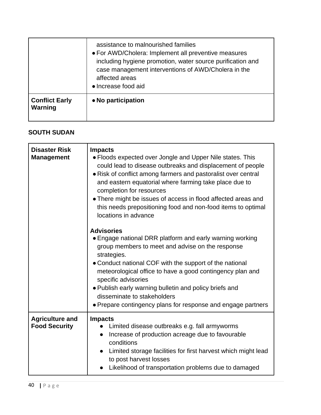|                                  | assistance to malnourished families<br>• For AWD/Cholera: Implement all preventive measures<br>including hygiene promotion, water source purification and<br>case management interventions of AWD/Cholera in the<br>affected areas<br>• Increase food aid |
|----------------------------------|-----------------------------------------------------------------------------------------------------------------------------------------------------------------------------------------------------------------------------------------------------------|
| <b>Conflict Early</b><br>Warning | • No participation                                                                                                                                                                                                                                        |

### **SOUTH SUDAN**

| <b>Disaster Risk</b><br><b>Management</b>      | <b>Impacts</b><br>• Floods expected over Jongle and Upper Nile states. This<br>could lead to disease outbreaks and displacement of people<br>• Risk of conflict among farmers and pastoralist over central<br>and eastern equatorial where farming take place due to<br>completion for resources<br>• There might be issues of access in flood affected areas and<br>this needs prepositioning food and non-food items to optimal<br>locations in advance |
|------------------------------------------------|-----------------------------------------------------------------------------------------------------------------------------------------------------------------------------------------------------------------------------------------------------------------------------------------------------------------------------------------------------------------------------------------------------------------------------------------------------------|
|                                                | <b>Advisories</b><br>• Engage national DRR platform and early warning working<br>group members to meet and advise on the response<br>strategies.<br>• Conduct national COF with the support of the national<br>meteorological office to have a good contingency plan and<br>specific advisories<br>. Publish early warning bulletin and policy briefs and<br>disseminate to stakeholders<br>• Prepare contingency plans for response and engage partners  |
| <b>Agriculture and</b><br><b>Food Security</b> | <b>Impacts</b><br>Limited disease outbreaks e.g. fall armyworms<br>Increase of production acreage due to favourable<br>$\bullet$<br>conditions<br>Limited storage facilities for first harvest which might lead<br>to post harvest losses<br>Likelihood of transportation problems due to damaged                                                                                                                                                         |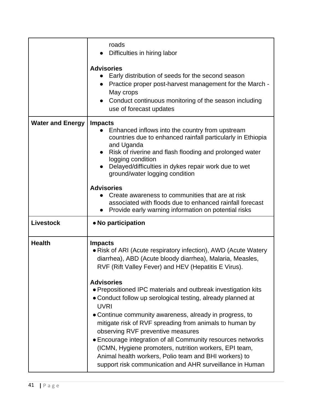|                         | roads<br>Difficulties in hiring labor<br><b>Advisories</b><br>Early distribution of seeds for the second season<br>Practice proper post-harvest management for the March -<br>May crops<br>Conduct continuous monitoring of the season including<br>use of forecast updates                                                                                                                                                                                                                                                                                                                                                                                                                                                                                                        |
|-------------------------|------------------------------------------------------------------------------------------------------------------------------------------------------------------------------------------------------------------------------------------------------------------------------------------------------------------------------------------------------------------------------------------------------------------------------------------------------------------------------------------------------------------------------------------------------------------------------------------------------------------------------------------------------------------------------------------------------------------------------------------------------------------------------------|
| <b>Water and Energy</b> | <b>Impacts</b><br>Enhanced inflows into the country from upstream<br>countries due to enhanced rainfall particularly in Ethiopia<br>and Uganda<br>Risk of riverine and flash flooding and prolonged water<br>logging condition<br>Delayed/difficulties in dykes repair work due to wet<br>ground/water logging condition<br><b>Advisories</b><br>Create awareness to communities that are at risk<br>associated with floods due to enhanced rainfall forecast<br>Provide early warning information on potential risks                                                                                                                                                                                                                                                              |
| <b>Livestock</b>        | • No participation                                                                                                                                                                                                                                                                                                                                                                                                                                                                                                                                                                                                                                                                                                                                                                 |
| <b>Health</b>           | <b>Impacts</b><br>• Risk of ARI (Acute respiratory infection), AWD (Acute Watery<br>diarrhea), ABD (Acute bloody diarrhea), Malaria, Measles,<br>RVF (Rift Valley Fever) and HEV (Hepatitis E Virus).<br><b>Advisories</b><br>• Prepositioned IPC materials and outbreak investigation kits<br>• Conduct follow up serological testing, already planned at<br><b>UVRI</b><br>• Continue community awareness, already in progress, to<br>mitigate risk of RVF spreading from animals to human by<br>observing RVF preventive measures<br>• Encourage integration of all Community resources networks<br>(ICMN, Hygiene promoters, nutrition workers, EPI team,<br>Animal health workers, Polio team and BHI workers) to<br>support risk communication and AHR surveillance in Human |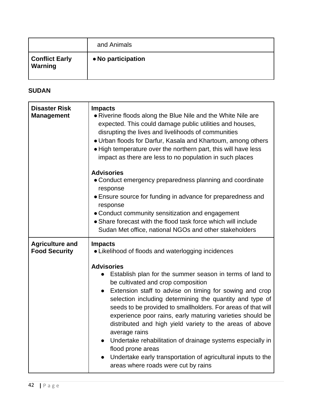|                                         | and Animals        |
|-----------------------------------------|--------------------|
| <b>Conflict Early</b><br><b>Warning</b> | • No participation |

# **SUDAN**

| <b>Disaster Risk</b><br><b>Management</b>      | <b>Impacts</b><br>• Riverine floods along the Blue Nile and the White Nile are<br>expected. This could damage public utilities and houses,<br>disrupting the lives and livelihoods of communities<br>. Urban floods for Darfur, Kasala and Khartoum, among others<br>• High temperature over the northern part, this will have less<br>impact as there are less to no population in such places                                                                                                                                                                                                                                                                                       |
|------------------------------------------------|---------------------------------------------------------------------------------------------------------------------------------------------------------------------------------------------------------------------------------------------------------------------------------------------------------------------------------------------------------------------------------------------------------------------------------------------------------------------------------------------------------------------------------------------------------------------------------------------------------------------------------------------------------------------------------------|
|                                                | <b>Advisories</b><br>• Conduct emergency preparedness planning and coordinate<br>response<br>• Ensure source for funding in advance for preparedness and                                                                                                                                                                                                                                                                                                                                                                                                                                                                                                                              |
|                                                | response<br>• Conduct community sensitization and engagement<br>• Share forecast with the flood task force which will include<br>Sudan Met office, national NGOs and other stakeholders                                                                                                                                                                                                                                                                                                                                                                                                                                                                                               |
| <b>Agriculture and</b><br><b>Food Security</b> | <b>Impacts</b><br>• Likelihood of floods and waterlogging incidences                                                                                                                                                                                                                                                                                                                                                                                                                                                                                                                                                                                                                  |
|                                                | <b>Advisories</b><br>Establish plan for the summer season in terms of land to<br>$\bullet$<br>be cultivated and crop composition<br>Extension staff to advise on timing for sowing and crop<br>$\bullet$<br>selection including determining the quantity and type of<br>seeds to be provided to smallholders. For areas of that will<br>experience poor rains, early maturing varieties should be<br>distributed and high yield variety to the areas of above<br>average rains<br>Undertake rehabilitation of drainage systems especially in<br>$\bullet$<br>flood prone areas<br>Undertake early transportation of agricultural inputs to the<br>areas where roads were cut by rains |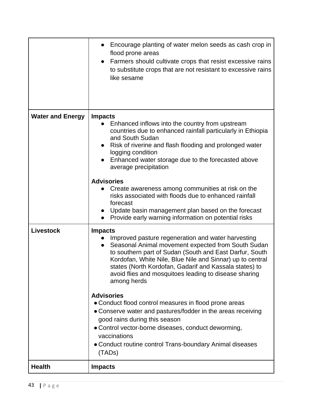|                         | Encourage planting of water melon seeds as cash crop in<br>flood prone areas<br>Farmers should cultivate crops that resist excessive rains<br>$\bullet$<br>to substitute crops that are not resistant to excessive rains<br>like sesame                                                                                                                                                           |
|-------------------------|---------------------------------------------------------------------------------------------------------------------------------------------------------------------------------------------------------------------------------------------------------------------------------------------------------------------------------------------------------------------------------------------------|
| <b>Water and Energy</b> | <b>Impacts</b><br>Enhanced inflows into the country from upstream<br>$\bullet$<br>countries due to enhanced rainfall particularly in Ethiopia<br>and South Sudan<br>Risk of riverine and flash flooding and prolonged water<br>$\bullet$<br>logging condition<br>Enhanced water storage due to the forecasted above<br>$\bullet$<br>average precipitation                                         |
|                         | <b>Advisories</b><br>Create awareness among communities at risk on the<br>$\bullet$<br>risks associated with floods due to enhanced rainfall<br>forecast<br>Update basin management plan based on the forecast<br>$\bullet$<br>Provide early warning information on potential risks                                                                                                               |
| <b>Livestock</b>        | <b>Impacts</b><br>Improved pasture regeneration and water harvesting<br>Seasonal Animal movement expected from South Sudan<br>$\bullet$<br>to southern part of Sudan (South and East Darfur, South<br>Kordofan, White Nile, Blue Nile and Sinnar) up to central<br>states (North Kordofan, Gadarif and Kassala states) to<br>avoid flies and mosquitoes leading to disease sharing<br>among herds |
|                         | <b>Advisories</b><br>• Conduct flood control measures in flood prone areas<br>• Conserve water and pastures/fodder in the areas receiving<br>good rains during this season<br>• Control vector-borne diseases, conduct deworming,<br>vaccinations<br>• Conduct routine control Trans-boundary Animal diseases<br>(TADs)                                                                           |
| <b>Health</b>           | <b>Impacts</b>                                                                                                                                                                                                                                                                                                                                                                                    |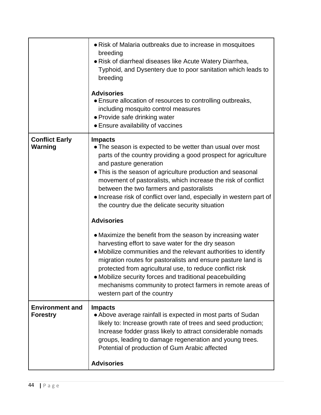|                                           | • Risk of Malaria outbreaks due to increase in mosquitoes<br>breeding<br>• Risk of diarrheal diseases like Acute Watery Diarrhea,<br>Typhoid, and Dysentery due to poor sanitation which leads to<br>breeding<br><b>Advisories</b><br>• Ensure allocation of resources to controlling outbreaks,<br>including mosquito control measures<br>• Provide safe drinking water<br>• Ensure availability of vaccines                                                                                        |
|-------------------------------------------|------------------------------------------------------------------------------------------------------------------------------------------------------------------------------------------------------------------------------------------------------------------------------------------------------------------------------------------------------------------------------------------------------------------------------------------------------------------------------------------------------|
| <b>Conflict Early</b><br>Warning          | <b>Impacts</b><br>• The season is expected to be wetter than usual over most<br>parts of the country providing a good prospect for agriculture<br>and pasture generation<br>• This is the season of agriculture production and seasonal<br>movement of pastoralists, which increase the risk of conflict<br>between the two farmers and pastoralists<br>• Increase risk of conflict over land, especially in western part of<br>the country due the delicate security situation<br><b>Advisories</b> |
|                                           | • Maximize the benefit from the season by increasing water<br>harvesting effort to save water for the dry season<br>• Mobilize communities and the relevant authorities to identify<br>migration routes for pastoralists and ensure pasture land is<br>protected from agricultural use, to reduce conflict risk<br>• Mobilize security forces and traditional peacebuilding<br>mechanisms community to protect farmers in remote areas of<br>western part of the country                             |
| <b>Environment and</b><br><b>Forestry</b> | <b>Impacts</b><br>• Above average rainfall is expected in most parts of Sudan<br>likely to: Increase growth rate of trees and seed production;<br>Increase fodder grass likely to attract considerable nomads<br>groups, leading to damage regeneration and young trees.<br>Potential of production of Gum Arabic affected                                                                                                                                                                           |
|                                           | <b>Advisories</b>                                                                                                                                                                                                                                                                                                                                                                                                                                                                                    |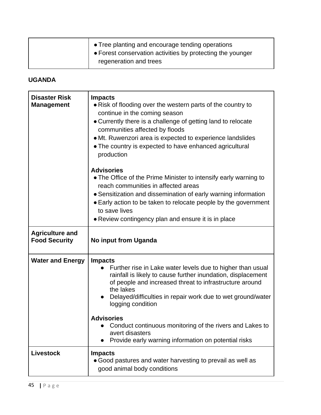| ↑ Tree planting and encourage tending operations<br>• Forest conservation activities by protecting the younger |
|----------------------------------------------------------------------------------------------------------------|
| regeneration and trees                                                                                         |

# **UGANDA**

| <b>Disaster Risk</b><br><b>Management</b>      | <b>Impacts</b><br>• Risk of flooding over the western parts of the country to<br>continue in the coming season<br>• Currently there is a challenge of getting land to relocate<br>communities affected by floods<br>• Mt. Ruwenzori area is expected to experience landslides<br>• The country is expected to have enhanced agricultural<br>production                                                                                                               |
|------------------------------------------------|----------------------------------------------------------------------------------------------------------------------------------------------------------------------------------------------------------------------------------------------------------------------------------------------------------------------------------------------------------------------------------------------------------------------------------------------------------------------|
|                                                | <b>Advisories</b><br>• The Office of the Prime Minister to intensify early warning to<br>reach communities in affected areas<br>• Sensitization and dissemination of early warning information<br>• Early action to be taken to relocate people by the government<br>to save lives<br>• Review contingency plan and ensure it is in place                                                                                                                            |
| <b>Agriculture and</b><br><b>Food Security</b> | No input from Uganda                                                                                                                                                                                                                                                                                                                                                                                                                                                 |
| <b>Water and Energy</b>                        | <b>Impacts</b><br>Further rise in Lake water levels due to higher than usual<br>rainfall is likely to cause further inundation, displacement<br>of people and increased threat to infrastructure around<br>the lakes<br>Delayed/difficulties in repair work due to wet ground/water<br>logging condition<br><b>Advisories</b><br>Conduct continuous monitoring of the rivers and Lakes to<br>avert disasters<br>Provide early warning information on potential risks |
| <b>Livestock</b>                               | <b>Impacts</b><br>• Good pastures and water harvesting to prevail as well as<br>good animal body conditions                                                                                                                                                                                                                                                                                                                                                          |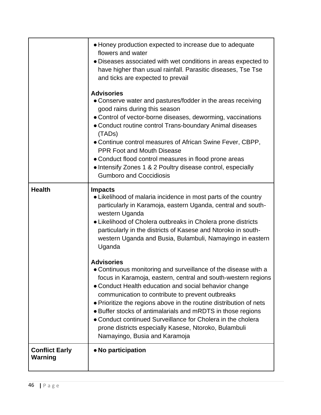|                                         | • Honey production expected to increase due to adequate<br>flowers and water<br>· Diseases associated with wet conditions in areas expected to<br>have higher than usual rainfall. Parasitic diseases, Tse Tse<br>and ticks are expected to prevail<br><b>Advisories</b><br>• Conserve water and pastures/fodder in the areas receiving<br>good rains during this season<br>• Control of vector-borne diseases, deworming, vaccinations<br>• Conduct routine control Trans-boundary Animal diseases<br>(TADs)<br>. Continue control measures of African Swine Fever, CBPP,<br><b>PPR Foot and Mouth Disease</b><br>• Conduct flood control measures in flood prone areas<br>• Intensify Zones 1 & 2 Poultry disease control, especially<br><b>Gumboro and Coccidiosis</b> |
|-----------------------------------------|---------------------------------------------------------------------------------------------------------------------------------------------------------------------------------------------------------------------------------------------------------------------------------------------------------------------------------------------------------------------------------------------------------------------------------------------------------------------------------------------------------------------------------------------------------------------------------------------------------------------------------------------------------------------------------------------------------------------------------------------------------------------------|
| <b>Health</b>                           | <b>Impacts</b><br>• Likelihood of malaria incidence in most parts of the country<br>particularly in Karamoja, eastern Uganda, central and south-<br>western Uganda<br>• Likelihood of Cholera outbreaks in Cholera prone districts<br>particularly in the districts of Kasese and Ntoroko in south-<br>western Uganda and Busia, Bulambuli, Namayingo in eastern<br>Uganda                                                                                                                                                                                                                                                                                                                                                                                                |
|                                         | <b>Advisories</b><br>. Continuous monitoring and surveillance of the disease with a<br>focus in Karamoja, eastern, central and south-western regions<br>• Conduct Health education and social behavior change<br>communication to contribute to prevent outbreaks<br>• Prioritize the regions above in the routine distribution of nets<br>• Buffer stocks of antimalarials and mRDTS in those regions<br>• Conduct continued Surveillance for Cholera in the cholera<br>prone districts especially Kasese, Ntoroko, Bulambuli<br>Namayingo, Busia and Karamoja                                                                                                                                                                                                           |
| <b>Conflict Early</b><br><b>Warning</b> | • No participation                                                                                                                                                                                                                                                                                                                                                                                                                                                                                                                                                                                                                                                                                                                                                        |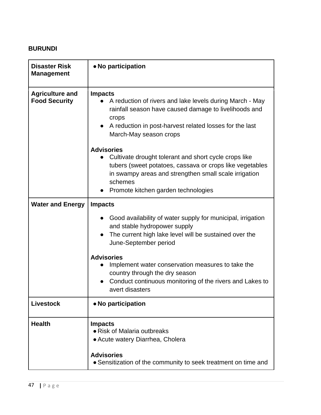# **BURUNDI**

| <b>Disaster Risk</b><br><b>Management</b>      | • No participation                                                                                                                                                                                                                |
|------------------------------------------------|-----------------------------------------------------------------------------------------------------------------------------------------------------------------------------------------------------------------------------------|
| <b>Agriculture and</b><br><b>Food Security</b> | <b>Impacts</b><br>A reduction of rivers and lake levels during March - May<br>rainfall season have caused damage to livelihoods and<br>crops<br>A reduction in post-harvest related losses for the last<br>March-May season crops |
|                                                | <b>Advisories</b>                                                                                                                                                                                                                 |
|                                                | Cultivate drought tolerant and short cycle crops like<br>tubers (sweet potatoes, cassava or crops like vegetables<br>in swampy areas and strengthen small scale irrigation<br>schemes                                             |
|                                                | Promote kitchen garden technologies                                                                                                                                                                                               |
| <b>Water and Energy</b>                        | <b>Impacts</b>                                                                                                                                                                                                                    |
|                                                | Good availability of water supply for municipal, irrigation<br>and stable hydropower supply<br>The current high lake level will be sustained over the<br>June-September period                                                    |
|                                                | <b>Advisories</b><br>Implement water conservation measures to take the<br>$\bullet$<br>country through the dry season<br>Conduct continuous monitoring of the rivers and Lakes to<br>avert disasters                              |
| <b>Livestock</b>                               | • No participation                                                                                                                                                                                                                |
| <b>Health</b>                                  | <b>Impacts</b><br>• Risk of Malaria outbreaks<br>• Acute watery Diarrhea, Cholera<br><b>Advisories</b><br>• Sensitization of the community to seek treatment on time and                                                          |
|                                                |                                                                                                                                                                                                                                   |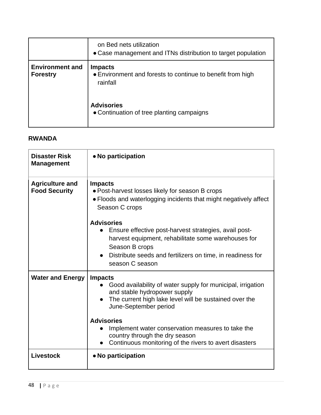|                                           | on Bed nets utilization<br>• Case management and ITNs distribution to target population  |
|-------------------------------------------|------------------------------------------------------------------------------------------|
| <b>Environment and</b><br><b>Forestry</b> | <b>Impacts</b><br>• Environment and forests to continue to benefit from high<br>rainfall |
|                                           | <b>Advisories</b><br>• Continuation of tree planting campaigns                           |

#### **RWANDA**

| <b>Disaster Risk</b><br><b>Management</b>      | • No participation                                                                                                                                                                                                                                                                                           |
|------------------------------------------------|--------------------------------------------------------------------------------------------------------------------------------------------------------------------------------------------------------------------------------------------------------------------------------------------------------------|
| <b>Agriculture and</b><br><b>Food Security</b> | <b>Impacts</b><br>. Post-harvest losses likely for season B crops<br>• Floods and waterlogging incidents that might negatively affect<br>Season C crops                                                                                                                                                      |
|                                                | <b>Advisories</b><br>Ensure effective post-harvest strategies, avail post-<br>harvest equipment, rehabilitate some warehouses for<br>Season B crops<br>Distribute seeds and fertilizers on time, in readiness for<br>season C season                                                                         |
| <b>Water and Energy</b>                        | <b>Impacts</b><br>Good availability of water supply for municipal, irrigation<br>and stable hydropower supply<br>The current high lake level will be sustained over the<br>June-September period<br><b>Advisories</b><br>Implement water conservation measures to take the<br>country through the dry season |
|                                                | Continuous monitoring of the rivers to avert disasters<br>$\bullet$                                                                                                                                                                                                                                          |
| Livestock                                      | • No participation                                                                                                                                                                                                                                                                                           |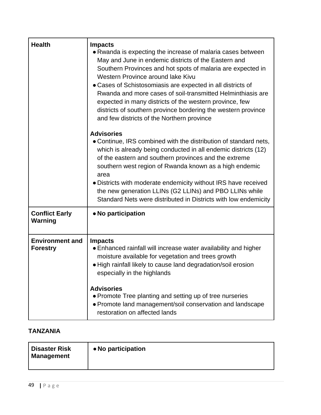| <b>Health</b>                             | <b>Impacts</b><br>• Rwanda is expecting the increase of malaria cases between<br>May and June in endemic districts of the Eastern and<br>Southern Provinces and hot spots of malaria are expected in<br>Western Province around lake Kivu<br>• Cases of Schistosomiasis are expected in all districts of<br>Rwanda and more cases of soil-transmitted Helminthiasis are<br>expected in many districts of the western province, few<br>districts of southern province bordering the western province<br>and few districts of the Northern province |
|-------------------------------------------|---------------------------------------------------------------------------------------------------------------------------------------------------------------------------------------------------------------------------------------------------------------------------------------------------------------------------------------------------------------------------------------------------------------------------------------------------------------------------------------------------------------------------------------------------|
|                                           | <b>Advisories</b><br>• Continue, IRS combined with the distribution of standard nets,<br>which is already being conducted in all endemic districts (12)<br>of the eastern and southern provinces and the extreme<br>southern west region of Rwanda known as a high endemic<br>area<br>• Districts with moderate endemicity without IRS have received<br>the new generation LLINs (G2 LLINs) and PBO LLINs while<br>Standard Nets were distributed in Districts with low endemicity                                                                |
| <b>Conflict Early</b><br><b>Warning</b>   | • No participation                                                                                                                                                                                                                                                                                                                                                                                                                                                                                                                                |
| <b>Environment and</b><br><b>Forestry</b> | <b>Impacts</b><br>• Enhanced rainfall will increase water availability and higher<br>moisture available for vegetation and trees growth<br>. High rainfall likely to cause land degradation/soil erosion<br>especially in the highlands<br><b>Advisories</b><br>• Promote Tree planting and setting up of tree nurseries<br>• Promote land management/soil conservation and landscape<br>restoration on affected lands                                                                                                                            |

# **TANZANIA**

| <b>Disaster Risk</b><br><b>Management</b> | • No participation |
|-------------------------------------------|--------------------|
|-------------------------------------------|--------------------|